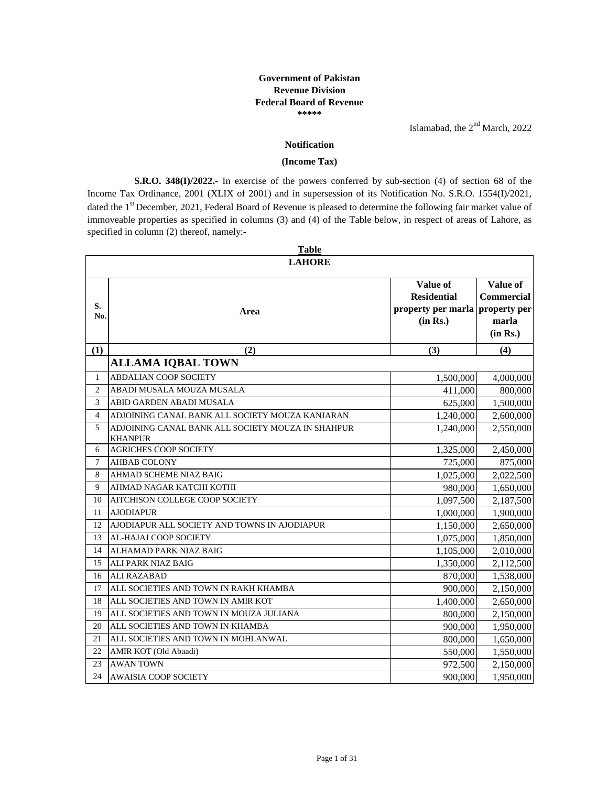## **\*\*\*\*\* Government of Pakistan Revenue Division Federal Board of Revenue**

Islamabad, the  $2<sup>nd</sup> March$ , 2022

## **Notification**

## **(Income Tax)**

**S.R.O. 348(I)/2022.-** In exercise of the powers conferred by sub-section (4) of section 68 of the Income Tax Ordinance, 2001 (XLIX of 2001) and in supersession of its Notification No. S.R.O. 1554(I)/2021, dated the 1<sup>st</sup> December, 2021, Federal Board of Revenue is pleased to determine the following fair market value of immoveable properties as specified in columns (3) and (4) of the Table below, in respect of areas of Lahore, as specified in column (2) thereof, namely:-

|                | <b>Table</b>                                                        |                                                                               |                                                    |  |  |
|----------------|---------------------------------------------------------------------|-------------------------------------------------------------------------------|----------------------------------------------------|--|--|
|                | <b>LAHORE</b>                                                       |                                                                               |                                                    |  |  |
| S.<br>No.      | Area                                                                | Value of<br><b>Residential</b><br>property per marla property per<br>(in Rs.) | Value of<br><b>Commercial</b><br>marla<br>(in Rs.) |  |  |
| (1)            | (2)                                                                 | (3)                                                                           | (4)                                                |  |  |
|                | <b>ALLAMA IQBAL TOWN</b>                                            |                                                                               |                                                    |  |  |
| $\mathbf{1}$   | <b>ABDALIAN COOP SOCIETY</b>                                        | 1,500,000                                                                     | 4,000,000                                          |  |  |
| $\overline{2}$ | ABADI MUSALA MOUZA MUSALA                                           | 411,000                                                                       | 800,000                                            |  |  |
| 3              | ABID GARDEN ABADI MUSALA                                            | 625,000                                                                       | 1,500,000                                          |  |  |
| 4              | ADJOINING CANAL BANK ALL SOCIETY MOUZA KANJARAN                     | 1,240,000                                                                     | 2,600,000                                          |  |  |
| 5              | ADJOINING CANAL BANK ALL SOCIETY MOUZA IN SHAHPUR<br><b>KHANPUR</b> | 1,240,000                                                                     | 2,550,000                                          |  |  |
| 6              | <b>AGRICHES COOP SOCIETY</b>                                        | 1,325,000                                                                     | 2,450,000                                          |  |  |
| 7              | <b>AHBAB COLONY</b>                                                 | 725,000                                                                       | 875,000                                            |  |  |
| 8              | <b>AHMAD SCHEME NIAZ BAIG</b>                                       | 1,025,000                                                                     | 2,022,500                                          |  |  |
| 9              | AHMAD NAGAR KATCHI KOTHI                                            | 980,000                                                                       | 1,650,000                                          |  |  |
| 10             | AITCHISON COLLEGE COOP SOCIETY                                      | 1,097,500                                                                     | 2,187,500                                          |  |  |
| 11             | <b>AJODIAPUR</b>                                                    | 1,000,000                                                                     | 1,900,000                                          |  |  |
| 12             | AJODIAPUR ALL SOCIETY AND TOWNS IN AJODIAPUR                        | 1,150,000                                                                     | 2,650,000                                          |  |  |
| 13             | AL-HAJAJ COOP SOCIETY                                               | 1,075,000                                                                     | 1,850,000                                          |  |  |
| 14             | ALHAMAD PARK NIAZ BAIG                                              | 1,105,000                                                                     | 2,010,000                                          |  |  |
| 15             | <b>ALI PARK NIAZ BAIG</b>                                           | 1,350,000                                                                     | 2,112,500                                          |  |  |
| 16             | <b>ALI RAZABAD</b>                                                  | 870,000                                                                       | 1,538,000                                          |  |  |
| 17             | ALL SOCIETIES AND TOWN IN RAKH KHAMBA                               | 900,000                                                                       | 2,150,000                                          |  |  |
| 18             | ALL SOCIETIES AND TOWN IN AMIR KOT                                  | 1,400,000                                                                     | 2,650,000                                          |  |  |
| 19             | ALL SOCIETIES AND TOWN IN MOUZA JULIANA                             | 800,000                                                                       | 2,150,000                                          |  |  |
| 20             | ALL SOCIETIES AND TOWN IN KHAMBA                                    | 900,000                                                                       | 1,950,000                                          |  |  |
| 21             | ALL SOCIETIES AND TOWN IN MOHLANWAL                                 | 800,000                                                                       | 1,650,000                                          |  |  |
| 22             | AMIR KOT (Old Abaadi)                                               | 550,000                                                                       | 1,550,000                                          |  |  |
| 23             | <b>AWAN TOWN</b>                                                    | 972,500                                                                       | 2,150,000                                          |  |  |
| 24             | <b>AWAISIA COOP SOCIETY</b>                                         | 900,000                                                                       | 1,950,000                                          |  |  |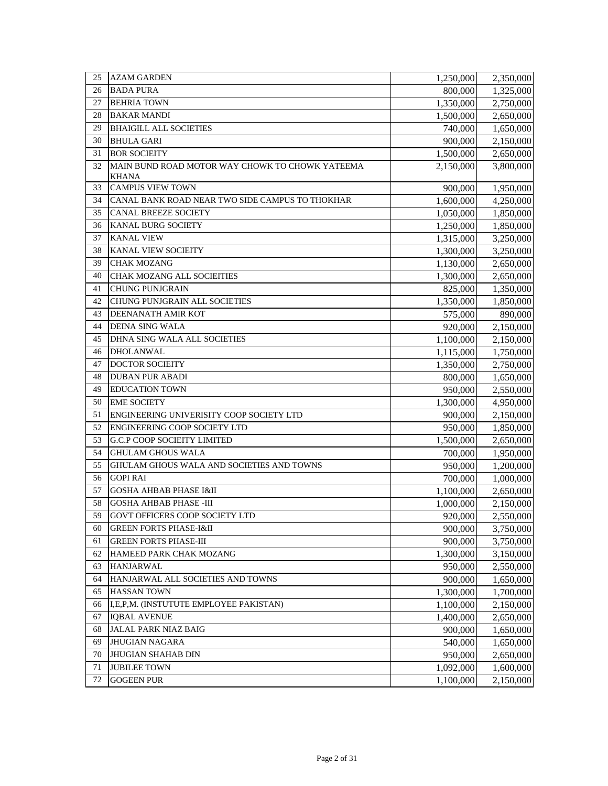| 25 | <b>AZAM GARDEN</b>                              | 1,250,000 | 2,350,000 |
|----|-------------------------------------------------|-----------|-----------|
| 26 | <b>BADA PURA</b>                                | 800,000   | 1,325,000 |
| 27 | <b>BEHRIA TOWN</b>                              | 1,350,000 | 2,750,000 |
| 28 | <b>BAKAR MANDI</b>                              | 1,500,000 | 2,650,000 |
| 29 | <b>BHAIGILL ALL SOCIETIES</b>                   | 740,000   | 1,650,000 |
| 30 | <b>BHULA GARI</b>                               | 900,000   | 2,150,000 |
| 31 | <b>BOR SOCIEITY</b>                             | 1,500,000 | 2,650,000 |
| 32 | MAIN BUND ROAD MOTOR WAY CHOWK TO CHOWK YATEEMA | 2,150,000 | 3,800,000 |
|    | <b>KHANA</b>                                    |           |           |
| 33 | <b>CAMPUS VIEW TOWN</b>                         | 900,000   | 1,950,000 |
| 34 | CANAL BANK ROAD NEAR TWO SIDE CAMPUS TO THOKHAR | 1,600,000 | 4,250,000 |
| 35 | <b>CANAL BREEZE SOCIETY</b>                     | 1,050,000 | 1,850,000 |
| 36 | <b>KANAL BURG SOCIETY</b>                       | 1,250,000 | 1,850,000 |
| 37 | <b>KANAL VIEW</b>                               | 1,315,000 | 3,250,000 |
| 38 | <b>KANAL VIEW SOCIEITY</b>                      | 1,300,000 | 3,250,000 |
| 39 | <b>CHAK MOZANG</b>                              | 1,130,000 | 2,650,000 |
| 40 | <b>CHAK MOZANG ALL SOCIEITIES</b>               | 1,300,000 | 2,650,000 |
| 41 | <b>CHUNG PUNJGRAIN</b>                          | 825,000   | 1,350,000 |
| 42 | <b>CHUNG PUNJGRAIN ALL SOCIETIES</b>            | 1,350,000 | 1,850,000 |
| 43 | DEENANATH AMIR KOT                              | 575,000   | 890,000   |
| 44 | <b>DEINA SING WALA</b>                          | 920,000   | 2,150,000 |
| 45 | DHNA SING WALA ALL SOCIETIES                    | 1,100,000 | 2,150,000 |
| 46 | <b>DHOLANWAL</b>                                | 1,115,000 | 1,750,000 |
| 47 | <b>DOCTOR SOCIEITY</b>                          | 1,350,000 | 2,750,000 |
| 48 | <b>DUBAN PUR ABADI</b>                          | 800,000   | 1,650,000 |
| 49 | <b>EDUCATION TOWN</b>                           | 950,000   | 2,550,000 |
| 50 | <b>EME SOCIETY</b>                              | 1,300,000 | 4,950,000 |
| 51 | ENGINEERING UNIVERISITY COOP SOCIETY LTD        | 900,000   | 2,150,000 |
| 52 | ENGINEERING COOP SOCIETY LTD                    | 950,000   | 1,850,000 |
| 53 | G.C.P COOP SOCIEITY LIMITED                     | 1,500,000 | 2,650,000 |
| 54 | <b>GHULAM GHOUS WALA</b>                        | 700,000   | 1,950,000 |
| 55 | GHULAM GHOUS WALA AND SOCIETIES AND TOWNS       | 950,000   | 1,200,000 |
| 56 | <b>GOPI RAI</b>                                 | 700,000   | 1,000,000 |
| 57 | <b>GOSHA AHBAB PHASE I&amp;II</b>               | 1,100,000 | 2,650,000 |
| 58 | <b>GOSHA AHBAB PHASE -III</b>                   | 1,000,000 | 2,150,000 |
| 59 | GOVT OFFICERS COOP SOCIETY LTD                  | 920,000   | 2,550,000 |
| 60 | <b>GREEN FORTS PHASE-I&amp;II</b>               | 900,000   | 3,750,000 |
| 61 | <b>GREEN FORTS PHASE-III</b>                    | 900,000   | 3,750,000 |
| 62 | HAMEED PARK CHAK MOZANG                         | 1,300,000 | 3,150,000 |
| 63 | <b>HANJARWAL</b>                                | 950,000   | 2,550,000 |
| 64 | HANJARWAL ALL SOCIETIES AND TOWNS               | 900,000   | 1,650,000 |
| 65 | <b>HASSAN TOWN</b>                              | 1,300,000 | 1,700,000 |
| 66 | I,E,P,M. (INSTUTUTE EMPLOYEE PAKISTAN)          | 1,100,000 | 2,150,000 |
| 67 | <b>IQBAL AVENUE</b>                             | 1,400,000 | 2,650,000 |
| 68 | JALAL PARK NIAZ BAIG                            | 900,000   | 1,650,000 |
| 69 | <b>JHUGIAN NAGARA</b>                           | 540,000   | 1,650,000 |
| 70 | <b>JHUGIAN SHAHAB DIN</b>                       | 950,000   | 2,650,000 |
| 71 | <b>JUBILEE TOWN</b>                             | 1,092,000 | 1,600,000 |
| 72 | <b>GOGEEN PUR</b>                               | 1,100,000 | 2,150,000 |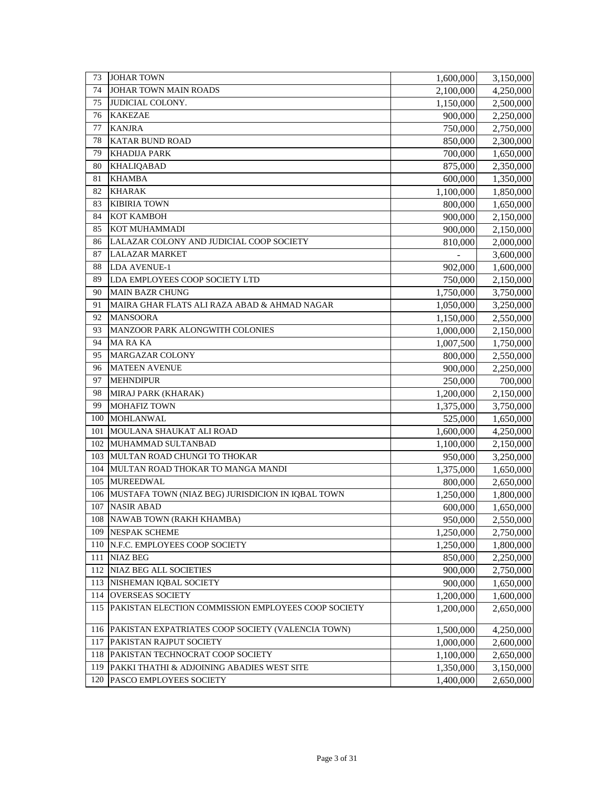| 73  | <b>JOHAR TOWN</b>                                   | 1,600,000 | 3,150,000 |
|-----|-----------------------------------------------------|-----------|-----------|
| 74  | JOHAR TOWN MAIN ROADS                               | 2,100,000 | 4,250,000 |
| 75  | <b>JUDICIAL COLONY.</b>                             | 1,150,000 | 2,500,000 |
| 76  | <b>KAKEZAE</b>                                      | 900,000   | 2,250,000 |
| 77  | <b>KANJRA</b>                                       | 750,000   | 2,750,000 |
| 78  | <b>KATAR BUND ROAD</b>                              | 850,000   | 2,300,000 |
| 79  | <b>KHADIJA PARK</b>                                 | 700,000   | 1,650,000 |
| 80  | <b>KHALIQABAD</b>                                   | 875,000   | 2,350,000 |
| 81  | <b>KHAMBA</b>                                       | 600,000   | 1,350,000 |
| 82  | <b>KHARAK</b>                                       | 1,100,000 | 1,850,000 |
| 83  | <b>KIBIRIA TOWN</b>                                 | 800,000   | 1,650,000 |
| 84  | <b>КОТ КАМВОН</b>                                   | 900,000   | 2,150,000 |
| 85  | KOT MUHAMMADI                                       | 900,000   | 2,150,000 |
| 86  | LALAZAR COLONY AND JUDICIAL COOP SOCIETY            | 810,000   | 2,000,000 |
| 87  | <b>LALAZAR MARKET</b>                               |           | 3,600,000 |
| 88  | <b>LDA AVENUE-1</b>                                 | 902,000   | 1,600,000 |
| 89  | LDA EMPLOYEES COOP SOCIETY LTD                      | 750,000   | 2,150,000 |
| 90  | <b>MAIN BAZR CHUNG</b>                              | 1,750,000 | 3,750,000 |
| 91  | MAIRA GHAR FLATS ALI RAZA ABAD & AHMAD NAGAR        | 1,050,000 | 3,250,000 |
| 92  | <b>MANSOORA</b>                                     | 1,150,000 | 2,550,000 |
| 93  | MANZOOR PARK ALONGWITH COLONIES                     | 1,000,000 | 2,150,000 |
| 94  | <b>MARAKA</b>                                       | 1,007,500 | 1,750,000 |
| 95  | <b>MARGAZAR COLONY</b>                              | 800,000   | 2,550,000 |
| 96  | <b>MATEEN AVENUE</b>                                | 900,000   | 2,250,000 |
| 97  | <b>MEHNDIPUR</b>                                    | 250,000   | 700,000   |
| 98  | MIRAJ PARK (KHARAK)                                 | 1,200,000 | 2,150,000 |
| 99  | <b>MOHAFIZ TOWN</b>                                 | 1,375,000 | 3,750,000 |
| 100 | <b>MOHLANWAL</b>                                    | 525,000   | 1,650,000 |
| 101 | MOULANA SHAUKAT ALI ROAD                            | 1,600,000 | 4,250,000 |
| 102 | MUHAMMAD SULTANBAD                                  | 1,100,000 | 2,150,000 |
| 103 | MULTAN ROAD CHUNGI TO THOKAR                        | 950,000   | 3,250,000 |
| 104 | MULTAN ROAD THOKAR TO MANGA MANDI                   | 1,375,000 | 1,650,000 |
| 105 | <b>MUREEDWAL</b>                                    | 800,000   | 2,650,000 |
| 106 | MUSTAFA TOWN (NIAZ BEG) JURISDICION IN IQBAL TOWN   | 1,250,000 | 1,800,000 |
| 107 | <b>NASIR ABAD</b>                                   | 600,000   | 1,650,000 |
| 108 | NAWAB TOWN (RAKH KHAMBA)                            | 950,000   | 2,550,000 |
| 109 | <b>NESPAK SCHEME</b>                                | 1,250,000 | 2,750,000 |
| 110 | N.F.C. EMPLOYEES COOP SOCIETY                       | 1,250,000 | 1,800,000 |
| 111 | <b>NIAZ BEG</b>                                     | 850,000   | 2,250,000 |
| 112 | NIAZ BEG ALL SOCIETIES                              | 900,000   | 2,750,000 |
| 113 | NISHEMAN IQBAL SOCIETY                              | 900,000   | 1,650,000 |
| 114 | <b>OVERSEAS SOCIETY</b>                             | 1,200,000 | 1,600,000 |
| 115 | PAKISTAN ELECTION COMMISSION EMPLOYEES COOP SOCIETY | 1,200,000 | 2,650,000 |
| 116 | PAKISTAN EXPATRIATES COOP SOCIETY (VALENCIA TOWN)   | 1,500,000 | 4,250,000 |
| 117 | PAKISTAN RAJPUT SOCIETY                             | 1,000,000 | 2,600,000 |
| 118 | PAKISTAN TECHNOCRAT COOP SOCIETY                    | 1,100,000 | 2,650,000 |
| 119 | PAKKI THATHI & ADJOINING ABADIES WEST SITE          | 1,350,000 | 3,150,000 |
| 120 | PASCO EMPLOYEES SOCIETY                             | 1,400,000 | 2,650,000 |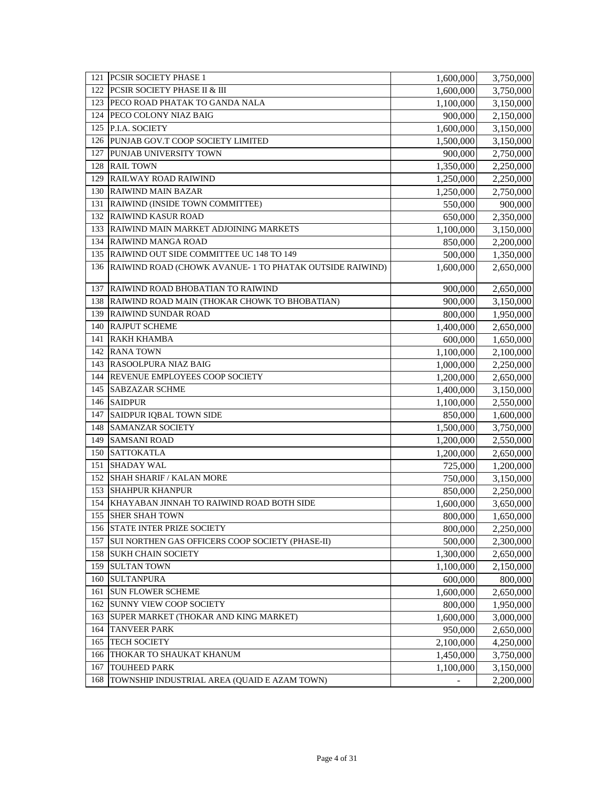| 121 | <b>PCSIR SOCIETY PHASE 1</b>                                | 1,600,000 | 3,750,000 |
|-----|-------------------------------------------------------------|-----------|-----------|
| 122 | <b>PCSIR SOCIETY PHASE II &amp; III</b>                     | 1,600,000 | 3,750,000 |
| 123 | PECO ROAD PHATAK TO GANDA NALA                              | 1,100,000 | 3,150,000 |
| 124 | PECO COLONY NIAZ BAIG                                       | 900,000   | 2,150,000 |
| 125 | P.I.A. SOCIETY                                              | 1,600,000 | 3,150,000 |
| 126 | PUNJAB GOV.T COOP SOCIETY LIMITED                           | 1,500,000 | 3,150,000 |
| 127 | PUNJAB UNIVERSITY TOWN                                      | 900,000   | 2,750,000 |
| 128 | <b>RAIL TOWN</b>                                            | 1,350,000 | 2,250,000 |
| 129 | <b>RAILWAY ROAD RAIWIND</b>                                 | 1,250,000 | 2,250,000 |
| 130 | <b>RAIWIND MAIN BAZAR</b>                                   | 1,250,000 | 2,750,000 |
| 131 | RAIWIND (INSIDE TOWN COMMITTEE)                             | 550,000   | 900,000   |
| 132 | <b>RAIWIND KASUR ROAD</b>                                   | 650,000   | 2,350,000 |
| 133 | RAIWIND MAIN MARKET ADJOINING MARKETS                       | 1,100,000 | 3,150,000 |
| 134 | <b>RAIWIND MANGA ROAD</b>                                   | 850,000   | 2,200,000 |
| 135 | RAIWIND OUT SIDE COMMITTEE UC 148 TO 149                    | 500,000   | 1,350,000 |
|     | 136 RAIWIND ROAD (CHOWK AVANUE-1 TO PHATAK OUTSIDE RAIWIND) | 1,600,000 | 2,650,000 |
|     |                                                             |           |           |
| 137 | RAIWIND ROAD BHOBATIAN TO RAIWIND                           | 900,000   | 2,650,000 |
| 138 | RAIWIND ROAD MAIN (THOKAR CHOWK TO BHOBATIAN)               | 900,000   | 3,150,000 |
| 139 | <b>RAIWIND SUNDAR ROAD</b>                                  | 800,000   | 1,950,000 |
| 140 | <b>RAJPUT SCHEME</b>                                        | 1,400,000 | 2,650,000 |
| 141 | <b>RAKH KHAMBA</b>                                          | 600,000   | 1,650,000 |
| 142 | <b>RANA TOWN</b>                                            | 1,100,000 | 2,100,000 |
| 143 | RASOOLPURA NIAZ BAIG                                        | 1,000,000 | 2,250,000 |
| 144 | REVENUE EMPLOYEES COOP SOCIETY                              | 1,200,000 | 2,650,000 |
| 145 | <b>SABZAZAR SCHME</b>                                       | 1,400,000 | 3,150,000 |
| 146 | <b>SAIDPUR</b>                                              | 1,100,000 | 2,550,000 |
| 147 | SAIDPUR IQBAL TOWN SIDE                                     | 850,000   | 1,600,000 |
| 148 | <b>SAMANZAR SOCIETY</b>                                     | 1,500,000 | 3,750,000 |
| 149 | <b>SAMSANI ROAD</b>                                         | 1,200,000 | 2,550,000 |
| 150 | <b>SATTOKATLA</b>                                           | 1,200,000 | 2,650,000 |
| 151 | <b>SHADAY WAL</b>                                           | 725,000   | 1,200,000 |
| 152 | <b>SHAH SHARIF / KALAN MORE</b>                             | 750,000   | 3,150,000 |
| 153 | <b>SHAHPUR KHANPUR</b>                                      | 850,000   | 2,250,000 |
| 154 | KHAYABAN JINNAH TO RAIWIND ROAD BOTH SIDE                   | 1,600,000 | 3,650,000 |
| 155 | <b>SHER SHAH TOWN</b>                                       | 800,000   | 1,650,000 |
|     | 156 STATE INTER PRIZE SOCIETY                               | 800,000   | 2,250,000 |
| 157 | SUI NORTHEN GAS OFFICERS COOP SOCIETY (PHASE-II)            | 500,000   | 2,300,000 |
| 158 | <b>SUKH CHAIN SOCIETY</b>                                   | 1,300,000 | 2,650,000 |
| 159 | <b>SULTAN TOWN</b>                                          | 1,100,000 | 2,150,000 |
| 160 | <b>SULTANPURA</b>                                           | 600,000   | 800,000   |
| 161 | <b>SUN FLOWER SCHEME</b>                                    | 1,600,000 | 2,650,000 |
| 162 | <b>SUNNY VIEW COOP SOCIETY</b>                              | 800,000   | 1,950,000 |
| 163 | SUPER MARKET (THOKAR AND KING MARKET)                       | 1,600,000 | 3,000,000 |
| 164 | <b>TANVEER PARK</b>                                         | 950,000   | 2,650,000 |
| 165 | <b>TECH SOCIETY</b>                                         | 2,100,000 | 4,250,000 |
| 166 | THOKAR TO SHAUKAT KHANUM                                    | 1,450,000 | 3,750,000 |
| 167 | <b>TOUHEED PARK</b>                                         | 1,100,000 | 3,150,000 |
| 168 | TOWNSHIP INDUSTRIAL AREA (QUAID E AZAM TOWN)                |           | 2,200,000 |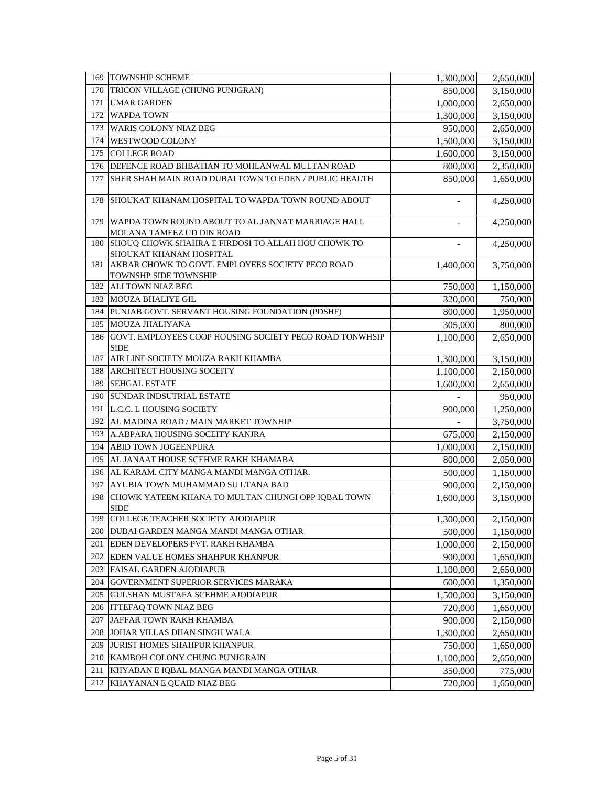| 169 | <b>TOWNSHIP SCHEME</b>                                                         | 1,300,000          | 2,650,000            |
|-----|--------------------------------------------------------------------------------|--------------------|----------------------|
| 170 | TRICON VILLAGE (CHUNG PUNJGRAN)                                                | 850,000            | 3,150,000            |
| 171 | <b>UMAR GARDEN</b>                                                             | 1,000,000          | 2,650,000            |
| 172 | <b>WAPDA TOWN</b>                                                              | 1,300,000          | 3,150,000            |
| 173 | <b>WARIS COLONY NIAZ BEG</b>                                                   | 950,000            | 2,650,000            |
| 174 | WESTWOOD COLONY                                                                | 1,500,000          | 3,150,000            |
| 175 | <b>COLLEGE ROAD</b>                                                            | 1,600,000          | 3,150,000            |
| 176 | DEFENCE ROAD BHBATIAN TO MOHLANWAL MULTAN ROAD                                 | 800,000            | 2,350,000            |
| 177 | SHER SHAH MAIN ROAD DUBAI TOWN TO EDEN / PUBLIC HEALTH                         | 850,000            | 1,650,000            |
| 178 | SHOUKAT KHANAM HOSPITAL TO WAPDA TOWN ROUND ABOUT                              |                    | 4,250,000            |
| 179 | WAPDA TOWN ROUND ABOUT TO AL JANNAT MARRIAGE HALL<br>MOLANA TAMEEZ UD DIN ROAD | $\overline{a}$     | 4,250,000            |
| 180 | SHOUQ CHOWK SHAHRA E FIRDOSI TO ALLAH HOU CHOWK TO                             |                    | 4,250,000            |
|     | SHOUKAT KHANAM HOSPITAL                                                        |                    |                      |
| 181 | AKBAR CHOWK TO GOVT. EMPLOYEES SOCIETY PECO ROAD                               | 1,400,000          | 3,750,000            |
| 182 | TOWNSHP SIDE TOWNSHIP<br><b>ALI TOWN NIAZ BEG</b>                              |                    |                      |
| 183 | <b>MOUZA BHALIYE GIL</b>                                                       | 750,000<br>320,000 | 1,150,000<br>750,000 |
| 184 | PUNJAB GOVT. SERVANT HOUSING FOUNDATION (PDSHF)                                | 800,000            | 1,950,000            |
| 185 | MOUZA JHALIYANA                                                                | 305,000            | 800,000              |
| 186 | GOVT. EMPLOYEES COOP HOUSING SOCIETY PECO ROAD TONWHSIP                        | 1,100,000          | 2,650,000            |
|     | <b>SIDE</b>                                                                    |                    |                      |
| 187 | AIR LINE SOCIETY MOUZA RAKH KHAMBA                                             | 1,300,000          | 3,150,000            |
| 188 | <b>ARCHITECT HOUSING SOCEITY</b>                                               | 1,100,000          | 2,150,000            |
| 189 | <b>SEHGAL ESTATE</b>                                                           | 1,600,000          | 2,650,000            |
| 190 | <b>SUNDAR INDSUTRIAL ESTATE</b>                                                |                    | 950,000              |
| 191 | L.C.C. L HOUSING SOCIETY                                                       | 900,000            | 1,250,000            |
| 192 | AL MADINA ROAD / MAIN MARKET TOWNHIP                                           |                    | 3,750,000            |
| 193 | A.ABPARA HOUSING SOCEITY KANJRA                                                | 675,000            | 2,150,000            |
| 194 | <b>ABID TOWN JOGEENPURA</b>                                                    | 1,000,000          | 2,150,000            |
| 195 | AL JANAAT HOUSE SCEHME RAKH KHAMABA                                            | 800,000            | 2,050,000            |
| 196 | AL KARAM. CITY MANGA MANDI MANGA OTHAR.                                        | 500,000            | 1,150,000            |
| 197 | AYUBIA TOWN MUHAMMAD SU LTANA BAD                                              | 900,000            | 2,150,000            |
| 198 | CHOWK YATEEM KHANA TO MULTAN CHUNGI OPP IQBAL TOWN<br><b>SIDE</b>              | 1,600,000          | 3,150,000            |
| 199 | COLLEGE TEACHER SOCIETY AJODIAPUR                                              | 1,300,000          | 2,150,000            |
| 200 | <b>DUBAI GARDEN MANGA MANDI MANGA OTHAR</b>                                    | 500,000            | 1,150,000            |
| 201 | EDEN DEVELOPERS PVT. RAKH KHAMBA                                               | 1,000,000          | 2,150,000            |
| 202 | EDEN VALUE HOMES SHAHPUR KHANPUR                                               | 900,000            | 1,650,000            |
| 203 | <b>FAISAL GARDEN AJODIAPUR</b>                                                 | 1,100,000          | 2,650,000            |
| 204 | GOVERNMENT SUPERIOR SERVICES MARAKA                                            | 600,000            | 1,350,000            |
| 205 | GULSHAN MUSTAFA SCEHME AJODIAPUR                                               | 1,500,000          | 3,150,000            |
| 206 | <b>ITTEFAO TOWN NIAZ BEG</b>                                                   | 720,000            | 1,650,000            |
| 207 | JAFFAR TOWN RAKH KHAMBA                                                        | 900,000            | 2,150,000            |
| 208 | JOHAR VILLAS DHAN SINGH WALA                                                   | 1,300,000          | 2,650,000            |
| 209 | JURIST HOMES SHAHPUR KHANPUR                                                   | 750,000            | 1,650,000            |
| 210 | KAMBOH COLONY CHUNG PUNJGRAIN                                                  | 1,100,000          | 2,650,000            |
| 211 | KHYABAN E IQBAL MANGA MANDI MANGA OTHAR                                        | 350,000            | 775,000              |
| 212 | KHAYANAN E QUAID NIAZ BEG                                                      | 720,000            | 1,650,000            |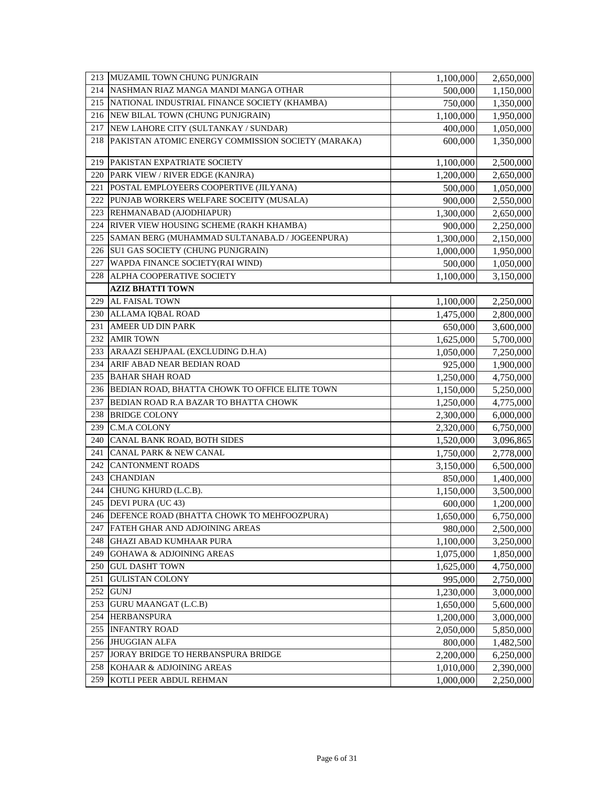| 213 | MUZAMIL TOWN CHUNG PUNJGRAIN                       | 1,100,000 | 2,650,000 |
|-----|----------------------------------------------------|-----------|-----------|
| 214 | NASHMAN RIAZ MANGA MANDI MANGA OTHAR               | 500,000   | 1,150,000 |
| 215 | NATIONAL INDUSTRIAL FINANCE SOCIETY (KHAMBA)       | 750,000   | 1,350,000 |
|     | 216 NEW BILAL TOWN (CHUNG PUNJGRAIN)               | 1,100,000 | 1,950,000 |
| 217 | NEW LAHORE CITY (SULTANKAY / SUNDAR)               | 400,000   | 1,050,000 |
| 218 | PAKISTAN ATOMIC ENERGY COMMISSION SOCIETY (MARAKA) | 600,000   | 1,350,000 |
| 219 | PAKISTAN EXPATRIATE SOCIETY                        | 1,100,000 | 2,500,000 |
| 220 | PARK VIEW / RIVER EDGE (KANJRA)                    | 1,200,000 | 2,650,000 |
| 221 | POSTAL EMPLOYEERS COOPERTIVE (JILYANA)             | 500,000   | 1,050,000 |
| 222 | PUNJAB WORKERS WELFARE SOCEITY (MUSALA)            | 900,000   | 2,550,000 |
| 223 | REHMANABAD (AJODHIAPUR)                            | 1,300,000 | 2,650,000 |
| 224 | RIVER VIEW HOUSING SCHEME (RAKH KHAMBA)            | 900,000   | 2,250,000 |
| 225 | SAMAN BERG (MUHAMMAD SULTANABA.D / JOGEENPURA)     | 1,300,000 | 2,150,000 |
|     | 226 SU1 GAS SOCIETY (CHUNG PUNJGRAIN)              | 1,000,000 | 1,950,000 |
| 227 | WAPDA FINANCE SOCIETY(RAI WIND)                    | 500,000   | 1,050,000 |
| 228 | ALPHA COOPERATIVE SOCIETY                          | 1,100,000 | 3,150,000 |
|     | <b>AZIZ BHATTI TOWN</b>                            |           |           |
| 229 | AL FAISAL TOWN                                     | 1,100,000 | 2,250,000 |
| 230 | ALLAMA IQBAL ROAD                                  | 1,475,000 | 2,800,000 |
| 231 | AMEER UD DIN PARK                                  | 650,000   | 3,600,000 |
| 232 | <b>AMIR TOWN</b>                                   | 1,625,000 | 5,700,000 |
| 233 | ARAAZI SEHJPAAL (EXCLUDING D.H.A)                  | 1,050,000 | 7,250,000 |
| 234 | ARIF ABAD NEAR BEDIAN ROAD                         | 925,000   | 1,900,000 |
| 235 | <b>BAHAR SHAH ROAD</b>                             | 1,250,000 | 4,750,000 |
|     | 236 BEDIAN ROAD, BHATTA CHOWK TO OFFICE ELITE TOWN | 1,150,000 | 5,250,000 |
| 237 | BEDIAN ROAD R.A BAZAR TO BHATTA CHOWK              | 1,250,000 | 4,775,000 |
| 238 | <b>BRIDGE COLONY</b>                               | 2,300,000 | 6,000,000 |
| 239 | C.M.A COLONY                                       | 2,320,000 | 6,750,000 |
| 240 | CANAL BANK ROAD, BOTH SIDES                        | 1,520,000 | 3,096,865 |
| 241 | CANAL PARK & NEW CANAL                             | 1,750,000 | 2,778,000 |
| 242 | <b>CANTONMENT ROADS</b>                            | 3,150,000 | 6,500,000 |
| 243 | <b>CHANDIAN</b>                                    | 850,000   | 1,400,000 |
| 244 | CHUNG KHURD (L.C.B).                               | 1,150,000 | 3,500,000 |
| 245 | DEVI PURA (UC 43)                                  | 600,000   | 1,200,000 |
|     | 246 DEFENCE ROAD (BHATTA CHOWK TO MEHFOOZPURA)     | 1,650,000 | 6,750,000 |
|     | 247 FATEH GHAR AND ADJOINING AREAS                 | 980,000   | 2,500,000 |
| 248 | <b>GHAZI ABAD KUMHAAR PURA</b>                     | 1,100,000 | 3,250,000 |
| 249 | <b>GOHAWA &amp; ADJOINING AREAS</b>                | 1,075,000 | 1,850,000 |
| 250 | <b>GUL DASHT TOWN</b>                              | 1,625,000 | 4,750,000 |
| 251 | <b>GULISTAN COLONY</b>                             | 995,000   | 2,750,000 |
| 252 | <b>GUNJ</b>                                        | 1,230,000 | 3,000,000 |
|     | 253 GURU MAANGAT (L.C.B)                           | 1,650,000 | 5,600,000 |
|     | 254 HERBANSPURA                                    | 1,200,000 | 3,000,000 |
| 255 | <b>INFANTRY ROAD</b>                               | 2,050,000 | 5,850,000 |
|     | 256 JHUGGIAN ALFA                                  | 800,000   | 1,482,500 |
| 257 | JORAY BRIDGE TO HERBANSPURA BRIDGE                 | 2,200,000 | 6,250,000 |
| 258 | KOHAAR & ADJOINING AREAS                           | 1,010,000 | 2,390,000 |
| 259 | KOTLI PEER ABDUL REHMAN                            | 1,000,000 | 2,250,000 |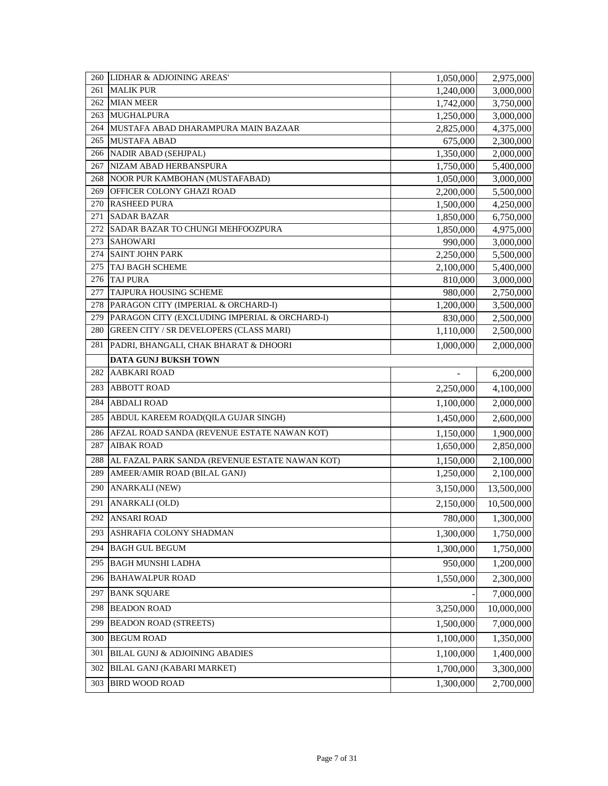| 260        | LIDHAR & ADJOINING AREAS'                      | 1,050,000            | 2,975,000              |
|------------|------------------------------------------------|----------------------|------------------------|
| 261        | <b>MALIK PUR</b>                               | 1,240,000            | 3,000,000              |
| 262        | <b>MIAN MEER</b>                               | 1,742,000            | 3,750,000              |
| 263        | MUGHALPURA                                     | 1,250,000            | 3,000,000              |
| 264        | MUSTAFA ABAD DHARAMPURA MAIN BAZAAR            | 2,825,000            | 4,375,000              |
| 265        | <b>MUSTAFA ABAD</b>                            | 675,000              | 2,300,000              |
| 266        | <b>NADIR ABAD (SEHJPAL)</b>                    | 1,350,000            | 2,000,000              |
| 267        | NIZAM ABAD HERBANSPURA                         | 1,750,000            | 5,400,000              |
| 268        | NOOR PUR KAMBOHAN (MUSTAFABAD)                 | 1,050,000            | 3,000,000              |
| 269        | OFFICER COLONY GHAZI ROAD                      | 2,200,000            | 5,500,000              |
| 270<br>271 | <b>RASHEED PURA</b><br><b>SADAR BAZAR</b>      | 1,500,000            | 4,250,000              |
| 272        | SADAR BAZAR TO CHUNGI MEHFOOZPURA              | 1,850,000            | 6,750,000              |
| 273        | <b>SAHOWARI</b>                                | 1,850,000<br>990,000 | 4,975,000<br>3,000,000 |
| 274        | <b>SAINT JOHN PARK</b>                         | 2,250,000            | 5,500,000              |
| 275        | <b>TAJ BAGH SCHEME</b>                         | 2,100,000            | 5,400,000              |
| 276        | <b>TAJ PURA</b>                                | 810,000              | 3,000,000              |
| 277        | TAJPURA HOUSING SCHEME                         | 980,000              | 2,750,000              |
| 278        | PARAGON CITY (IMPERIAL & ORCHARD-I)            | 1,200,000            | 3,500,000              |
| 279        | PARAGON CITY (EXCLUDING IMPERIAL & ORCHARD-I)  | 830,000              | 2,500,000              |
| 280        | <b>GREEN CITY / SR DEVELOPERS (CLASS MARI)</b> | 1,110,000            | 2,500,000              |
| 281        | PADRI, BHANGALI, CHAK BHARAT & DHOORI          | 1,000,000            | 2,000,000              |
|            | <b>DATA GUNJ BUKSH TOWN</b>                    |                      |                        |
| 282        | <b>AABKARI ROAD</b>                            | $\overline{a}$       | 6,200,000              |
| 283        | <b>ABBOTT ROAD</b>                             | 2,250,000            | 4,100,000              |
| 284        | <b>ABDALI ROAD</b>                             | 1,100,000            | 2,000,000              |
| 285        | ABDUL KAREEM ROAD(QILA GUJAR SINGH)            | 1,450,000            | 2,600,000              |
| 286        | AFZAL ROAD SANDA (REVENUE ESTATE NAWAN KOT)    | 1,150,000            | 1,900,000              |
| 287        | <b>AIBAK ROAD</b>                              | 1,650,000            | 2,850,000              |
| 288        | AL FAZAL PARK SANDA (REVENUE ESTATE NAWAN KOT) | 1,150,000            | 2,100,000              |
| 289        | AMEER/AMIR ROAD (BILAL GANJ)                   | 1,250,000            | 2,100,000              |
| 290        | <b>ANARKALI (NEW)</b>                          | 3,150,000            | 13,500,000             |
| 291        | ANARKALI (OLD)                                 | 2,150,000            | 10,500,000             |
| 292        | <b>ANSARI ROAD</b>                             | 780,000              | 1,300,000              |
| 293        | ASHRAFIA COLONY SHADMAN                        | 1,300,000            | 1,750,000              |
| 294        | <b>BAGH GUL BEGUM</b>                          | 1,300,000            | 1,750,000              |
| 295        | <b>BAGH MUNSHI LADHA</b>                       | 950,000              | 1,200,000              |
| 296        | <b>BAHAWALPUR ROAD</b>                         | 1,550,000            | 2,300,000              |
| 297        | <b>BANK SQUARE</b>                             |                      | 7,000,000              |
| 298        | <b>BEADON ROAD</b>                             | 3,250,000            | 10,000,000             |
| 299        | <b>BEADON ROAD (STREETS)</b>                   | 1,500,000            | 7,000,000              |
| 300        | <b>BEGUM ROAD</b>                              | 1,100,000            | 1,350,000              |
| 301        | BILAL GUNJ & ADJOINING ABADIES                 | 1,100,000            | 1,400,000              |
| 302        | BILAL GANJ (KABARI MARKET)                     | 1,700,000            | 3,300,000              |
| 303        | <b>BIRD WOOD ROAD</b>                          | 1,300,000            | 2,700,000              |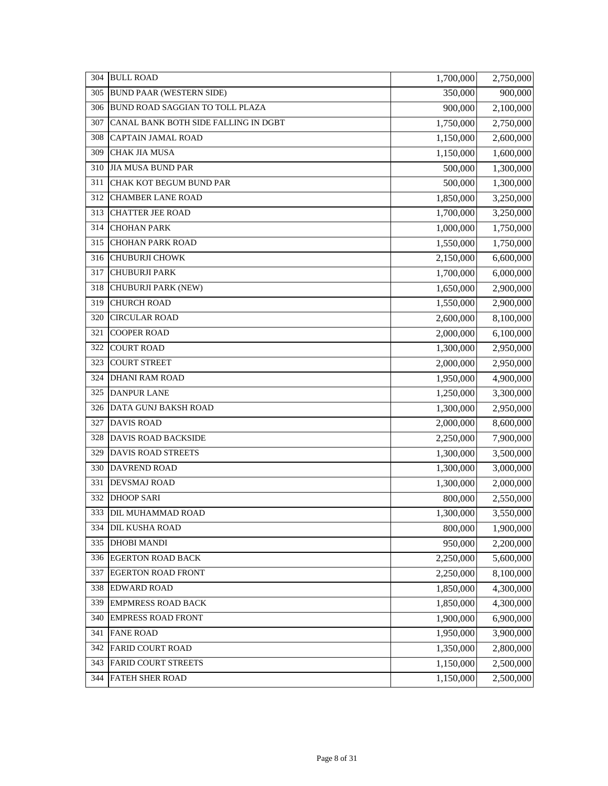| 304 | <b>BULL ROAD</b>                       | 1,700,000 | 2,750,000 |
|-----|----------------------------------------|-----------|-----------|
| 305 | <b>BUND PAAR (WESTERN SIDE)</b>        | 350,000   | 900,000   |
| 306 | <b>BUND ROAD SAGGIAN TO TOLL PLAZA</b> | 900,000   | 2,100,000 |
| 307 | CANAL BANK BOTH SIDE FALLING IN DGBT   | 1,750,000 | 2,750,000 |
| 308 | CAPTAIN JAMAL ROAD                     | 1,150,000 | 2,600,000 |
| 309 | <b>CHAK JIA MUSA</b>                   | 1,150,000 | 1,600,000 |
| 310 | <b>JIA MUSA BUND PAR</b>               | 500,000   | 1,300,000 |
| 311 | CHAK KOT BEGUM BUND PAR                | 500,000   | 1,300,000 |
| 312 | <b>CHAMBER LANE ROAD</b>               | 1,850,000 | 3,250,000 |
| 313 | <b>CHATTER JEE ROAD</b>                | 1,700,000 | 3,250,000 |
| 314 | <b>CHOHAN PARK</b>                     | 1,000,000 | 1,750,000 |
| 315 | <b>CHOHAN PARK ROAD</b>                | 1,550,000 | 1,750,000 |
| 316 | CHUBURJI CHOWK                         | 2,150,000 | 6,600,000 |
| 317 | <b>CHUBURJI PARK</b>                   | 1,700,000 | 6,000,000 |
| 318 | CHUBURJI PARK (NEW)                    | 1,650,000 | 2,900,000 |
| 319 | <b>CHURCH ROAD</b>                     | 1,550,000 | 2,900,000 |
| 320 | <b>CIRCULAR ROAD</b>                   | 2,600,000 | 8,100,000 |
| 321 | <b>COOPER ROAD</b>                     | 2,000,000 | 6,100,000 |
| 322 | <b>COURT ROAD</b>                      | 1,300,000 | 2,950,000 |
| 323 | <b>COURT STREET</b>                    | 2,000,000 | 2,950,000 |
| 324 | <b>DHANI RAM ROAD</b>                  | 1,950,000 | 4,900,000 |
| 325 | <b>DANPUR LANE</b>                     | 1,250,000 | 3,300,000 |
| 326 | DATA GUNJ BAKSH ROAD                   | 1,300,000 | 2,950,000 |
| 327 | <b>DAVIS ROAD</b>                      | 2,000,000 | 8,600,000 |
| 328 | DAVIS ROAD BACKSIDE                    | 2,250,000 | 7,900,000 |
| 329 | DAVIS ROAD STREETS                     | 1,300,000 | 3,500,000 |
| 330 | <b>DAVREND ROAD</b>                    | 1,300,000 | 3,000,000 |
| 331 | DEVSMAJ ROAD                           | 1,300,000 | 2,000,000 |
| 332 | <b>DHOOP SARI</b>                      | 800,000   | 2,550,000 |
|     | 333 DIL MUHAMMAD ROAD                  | 1,300,000 | 3,550,000 |
| 334 | <b>DIL KUSHA ROAD</b>                  | 800,000   | 1,900,000 |
| 335 | <b>DHOBI MANDI</b>                     | 950,000   | 2,200,000 |
| 336 | <b>EGERTON ROAD BACK</b>               | 2,250,000 | 5,600,000 |
| 337 | <b>EGERTON ROAD FRONT</b>              | 2,250,000 | 8,100,000 |
| 338 | <b>EDWARD ROAD</b>                     | 1,850,000 | 4,300,000 |
| 339 | <b>EMPMRESS ROAD BACK</b>              | 1,850,000 | 4,300,000 |
| 340 | <b>EMPRESS ROAD FRONT</b>              | 1,900,000 | 6,900,000 |
| 341 | <b>FANE ROAD</b>                       | 1,950,000 | 3,900,000 |
| 342 | <b>FARID COURT ROAD</b>                | 1,350,000 | 2,800,000 |
| 343 | <b>FARID COURT STREETS</b>             | 1,150,000 | 2,500,000 |
| 344 | <b>FATEH SHER ROAD</b>                 | 1,150,000 | 2,500,000 |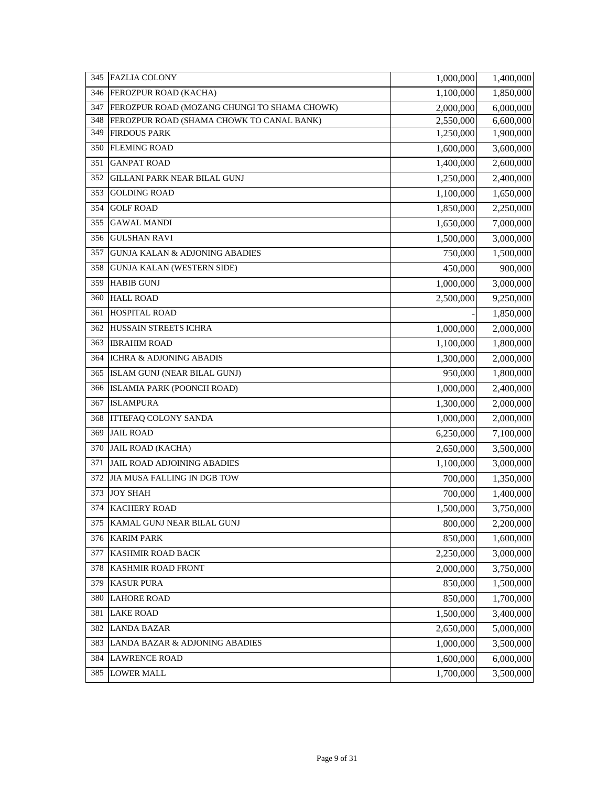|     | 345 FAZLIA COLONY                            | 1,000,000 | 1,400,000 |
|-----|----------------------------------------------|-----------|-----------|
| 346 | FEROZPUR ROAD (KACHA)                        | 1,100,000 | 1,850,000 |
| 347 | FEROZPUR ROAD (MOZANG CHUNGI TO SHAMA CHOWK) | 2,000,000 | 6,000,000 |
| 348 | FEROZPUR ROAD (SHAMA CHOWK TO CANAL BANK)    | 2,550,000 | 6,600,000 |
| 349 | <b>FIRDOUS PARK</b>                          | 1,250,000 | 1,900,000 |
|     | 350 FLEMING ROAD                             | 1,600,000 | 3,600,000 |
| 351 | <b>GANPAT ROAD</b>                           | 1,400,000 | 2,600,000 |
|     | 352 GILLANI PARK NEAR BILAL GUNJ             | 1,250,000 | 2,400,000 |
| 353 | <b>GOLDING ROAD</b>                          | 1,100,000 | 1,650,000 |
| 354 | <b>GOLF ROAD</b>                             | 1,850,000 | 2,250,000 |
| 355 | <b>GAWAL MANDI</b>                           | 1,650,000 | 7,000,000 |
| 356 | <b>GULSHAN RAVI</b>                          | 1,500,000 | 3,000,000 |
| 357 | <b>GUNJA KALAN &amp; ADJONING ABADIES</b>    | 750,000   | 1,500,000 |
| 358 | <b>GUNJA KALAN (WESTERN SIDE)</b>            | 450,000   | 900,000   |
| 359 | <b>HABIB GUNJ</b>                            | 1,000,000 | 3,000,000 |
| 360 | <b>HALL ROAD</b>                             | 2,500,000 | 9,250,000 |
| 361 | <b>HOSPITAL ROAD</b>                         |           | 1,850,000 |
| 362 | HUSSAIN STREETS ICHRA                        | 1,000,000 | 2,000,000 |
| 363 | <b>IBRAHIM ROAD</b>                          | 1,100,000 | 1,800,000 |
| 364 | <b>ICHRA &amp; ADJONING ABADIS</b>           | 1,300,000 | 2,000,000 |
| 365 | ISLAM GUNJ (NEAR BILAL GUNJ)                 | 950,000   | 1,800,000 |
|     | 366 ISLAMIA PARK (POONCH ROAD)               | 1,000,000 | 2,400,000 |
|     | 367 ISLAMPURA                                | 1,300,000 | 2,000,000 |
| 368 | <b>ITTEFAQ COLONY SANDA</b>                  | 1,000,000 | 2,000,000 |
|     | 369 JAIL ROAD                                | 6,250,000 | 7,100,000 |
|     | 370 JAIL ROAD (KACHA)                        | 2,650,000 | 3,500,000 |
| 371 | JAIL ROAD ADJOINING ABADIES                  | 1,100,000 | 3,000,000 |
| 372 | JIA MUSA FALLING IN DGB TOW                  | 700,000   | 1,350,000 |
| 373 | <b>JOY SHAH</b>                              | 700,000   | 1,400,000 |
| 374 | <b>KACHERY ROAD</b>                          | 1,500,000 | 3,750,000 |
| 375 | KAMAL GUNJ NEAR BILAL GUNJ                   | 800,000   | 2,200,000 |
|     | 376 KARIM PARK                               | 850,000   | 1,600,000 |
| 377 | <b>KASHMIR ROAD BACK</b>                     | 2,250,000 | 3,000,000 |
| 378 | KASHMIR ROAD FRONT                           | 2,000,000 | 3,750,000 |
| 379 | <b>KASUR PURA</b>                            | 850,000   | 1,500,000 |
| 380 | <b>LAHORE ROAD</b>                           | 850,000   | 1,700,000 |
| 381 | <b>LAKE ROAD</b>                             | 1,500,000 | 3,400,000 |
| 382 | <b>LANDA BAZAR</b>                           | 2,650,000 | 5,000,000 |
| 383 | LANDA BAZAR & ADJONING ABADIES               | 1,000,000 | 3,500,000 |
| 384 | <b>LAWRENCE ROAD</b>                         | 1,600,000 | 6,000,000 |
| 385 | <b>LOWER MALL</b>                            | 1,700,000 | 3,500,000 |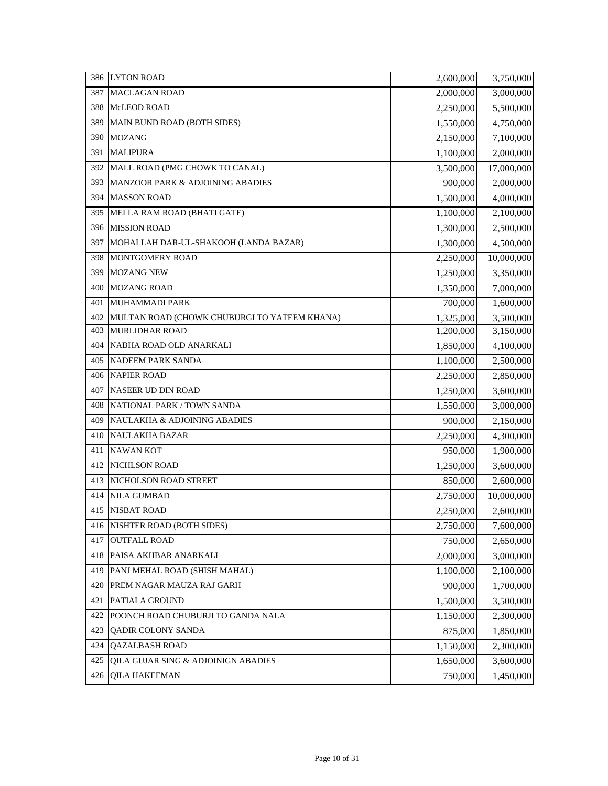| 386 | <b>LYTON ROAD</b>                            | 2,600,000 | 3,750,000  |
|-----|----------------------------------------------|-----------|------------|
| 387 | <b>MACLAGAN ROAD</b>                         | 2,000,000 | 3,000,000  |
| 388 | McLEOD ROAD                                  | 2,250,000 | 5,500,000  |
| 389 | MAIN BUND ROAD (BOTH SIDES)                  | 1,550,000 | 4,750,000  |
| 390 | <b>MOZANG</b>                                | 2,150,000 | 7,100,000  |
| 391 | <b>MALIPURA</b>                              | 1,100,000 | 2,000,000  |
| 392 | MALL ROAD (PMG CHOWK TO CANAL)               | 3,500,000 | 17,000,000 |
| 393 | MANZOOR PARK & ADJOINING ABADIES             | 900,000   | 2,000,000  |
| 394 | <b>MASSON ROAD</b>                           | 1,500,000 | 4,000,000  |
| 395 | MELLA RAM ROAD (BHATI GATE)                  | 1,100,000 | 2,100,000  |
| 396 | <b>MISSION ROAD</b>                          | 1,300,000 | 2,500,000  |
| 397 | MOHALLAH DAR-UL-SHAKOOH (LANDA BAZAR)        | 1,300,000 | 4,500,000  |
| 398 | MONTGOMERY ROAD                              | 2,250,000 | 10,000,000 |
| 399 | MOZANG NEW                                   | 1,250,000 | 3,350,000  |
| 400 | <b>MOZANG ROAD</b>                           | 1,350,000 | 7,000,000  |
| 401 | MUHAMMADI PARK                               | 700,000   | 1,600,000  |
| 402 | MULTAN ROAD (CHOWK CHUBURGI TO YATEEM KHANA) | 1,325,000 | 3,500,000  |
| 403 | <b>MURLIDHAR ROAD</b>                        | 1,200,000 | 3,150,000  |
| 404 | NABHA ROAD OLD ANARKALI                      | 1,850,000 | 4,100,000  |
| 405 | NADEEM PARK SANDA                            | 1,100,000 | 2,500,000  |
| 406 | <b>NAPIER ROAD</b>                           | 2,250,000 | 2,850,000  |
| 407 | NASEER UD DIN ROAD                           | 1,250,000 | 3,600,000  |
| 408 | NATIONAL PARK / TOWN SANDA                   | 1,550,000 | 3,000,000  |
| 409 | NAULAKHA & ADJOINING ABADIES                 | 900,000   | 2,150,000  |
| 410 | <b>NAULAKHA BAZAR</b>                        | 2,250,000 | 4,300,000  |
| 411 | <b>NAWAN KOT</b>                             | 950,000   | 1,900,000  |
| 412 | NICHLSON ROAD                                | 1,250,000 | 3,600,000  |
| 413 | NICHOLSON ROAD STREET                        | 850,000   | 2,600,000  |
| 414 | <b>NILA GUMBAD</b>                           | 2,750,000 | 10,000,000 |
| 415 | <b>NISBAT ROAD</b>                           | 2,250,000 | 2,600,000  |
| 416 | NISHTER ROAD (BOTH SIDES)                    | 2,750,000 | 7,600,000  |
| 417 | <b>OUTFALL ROAD</b>                          | 750,000   | 2,650,000  |
| 418 | PAISA AKHBAR ANARKALI                        | 2,000,000 | 3,000,000  |
| 419 | PANJ MEHAL ROAD (SHISH MAHAL)                | 1,100,000 | 2,100,000  |
| 420 | PREM NAGAR MAUZA RAJ GARH                    | 900,000   | 1,700,000  |
| 421 | PATIALA GROUND                               | 1,500,000 | 3,500,000  |
| 422 | POONCH ROAD CHUBURJI TO GANDA NALA           | 1,150,000 | 2,300,000  |
| 423 | <b>OADIR COLONY SANDA</b>                    | 875,000   | 1,850,000  |
| 424 | <b>QAZALBASH ROAD</b>                        | 1,150,000 | 2,300,000  |
| 425 | QILA GUJAR SING & ADJOINIGN ABADIES          | 1,650,000 | 3,600,000  |
| 426 | <b>QILA HAKEEMAN</b>                         | 750,000   | 1,450,000  |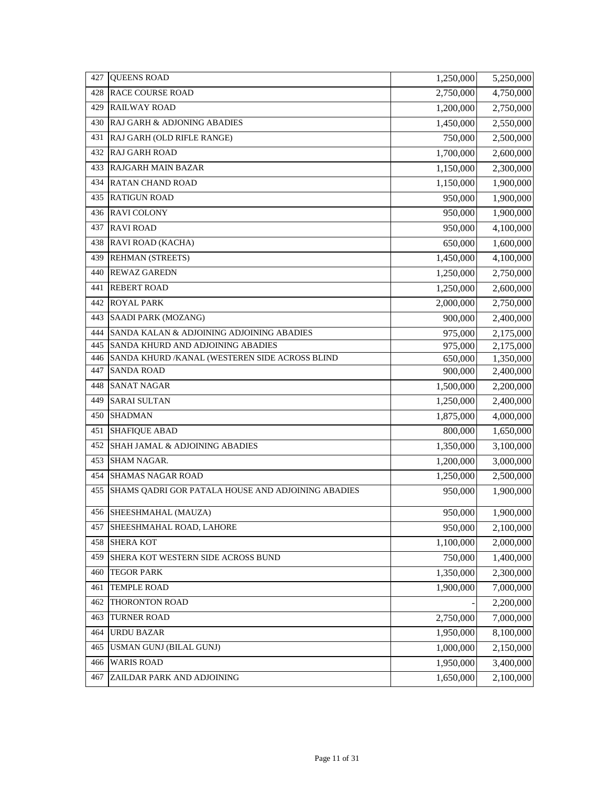| 428<br><b>RACE COURSE ROAD</b><br>2,750,000<br>4,750,000<br><b>RAILWAY ROAD</b><br>429<br>1,200,000<br>2,750,000<br>RAJ GARH & ADJONING ABADIES<br>430<br>1,450,000<br>2,550,000<br>431<br>RAJ GARH (OLD RIFLE RANGE)<br>750,000<br>2,500,000<br>1,700,000<br>432<br><b>RAJ GARH ROAD</b><br>2,600,000<br><b>RAJGARH MAIN BAZAR</b><br>433<br>1,150,000<br>2,300,000<br>434<br><b>RATAN CHAND ROAD</b><br>1,150,000<br>1,900,000<br><b>RATIGUN ROAD</b><br>435<br>950,000<br>1,900,000<br>436 RAVI COLONY<br>950,000<br>1,900,000<br>437<br><b>RAVI ROAD</b><br>950,000<br>4,100,000<br>RAVI ROAD (KACHA)<br>438<br>650,000<br>1,600,000<br>439<br><b>REHMAN (STREETS)</b><br>1,450,000<br>4,100,000<br>440<br><b>REWAZ GAREDN</b><br>1,250,000<br>2,750,000<br>441<br><b>REBERT ROAD</b><br>1,250,000<br>2,600,000<br><b>ROYAL PARK</b><br>442<br>2,000,000<br>2,750,000<br>443<br>SAADI PARK (MOZANG)<br>900,000<br>2,400,000<br>444<br>SANDA KALAN & ADJOINING ADJOINING ABADIES<br>975,000<br>2,175,000<br>445<br>SANDA KHURD AND ADJOINING ABADIES<br>975,000<br>2,175,000<br>446<br>SANDA KHURD / KANAL (WESTEREN SIDE ACROSS BLIND<br>650,000<br>1,350,000 |
|-------------------------------------------------------------------------------------------------------------------------------------------------------------------------------------------------------------------------------------------------------------------------------------------------------------------------------------------------------------------------------------------------------------------------------------------------------------------------------------------------------------------------------------------------------------------------------------------------------------------------------------------------------------------------------------------------------------------------------------------------------------------------------------------------------------------------------------------------------------------------------------------------------------------------------------------------------------------------------------------------------------------------------------------------------------------------------------------------------------------------------------------------------------------|
|                                                                                                                                                                                                                                                                                                                                                                                                                                                                                                                                                                                                                                                                                                                                                                                                                                                                                                                                                                                                                                                                                                                                                                   |
|                                                                                                                                                                                                                                                                                                                                                                                                                                                                                                                                                                                                                                                                                                                                                                                                                                                                                                                                                                                                                                                                                                                                                                   |
|                                                                                                                                                                                                                                                                                                                                                                                                                                                                                                                                                                                                                                                                                                                                                                                                                                                                                                                                                                                                                                                                                                                                                                   |
|                                                                                                                                                                                                                                                                                                                                                                                                                                                                                                                                                                                                                                                                                                                                                                                                                                                                                                                                                                                                                                                                                                                                                                   |
|                                                                                                                                                                                                                                                                                                                                                                                                                                                                                                                                                                                                                                                                                                                                                                                                                                                                                                                                                                                                                                                                                                                                                                   |
|                                                                                                                                                                                                                                                                                                                                                                                                                                                                                                                                                                                                                                                                                                                                                                                                                                                                                                                                                                                                                                                                                                                                                                   |
|                                                                                                                                                                                                                                                                                                                                                                                                                                                                                                                                                                                                                                                                                                                                                                                                                                                                                                                                                                                                                                                                                                                                                                   |
|                                                                                                                                                                                                                                                                                                                                                                                                                                                                                                                                                                                                                                                                                                                                                                                                                                                                                                                                                                                                                                                                                                                                                                   |
|                                                                                                                                                                                                                                                                                                                                                                                                                                                                                                                                                                                                                                                                                                                                                                                                                                                                                                                                                                                                                                                                                                                                                                   |
|                                                                                                                                                                                                                                                                                                                                                                                                                                                                                                                                                                                                                                                                                                                                                                                                                                                                                                                                                                                                                                                                                                                                                                   |
|                                                                                                                                                                                                                                                                                                                                                                                                                                                                                                                                                                                                                                                                                                                                                                                                                                                                                                                                                                                                                                                                                                                                                                   |
|                                                                                                                                                                                                                                                                                                                                                                                                                                                                                                                                                                                                                                                                                                                                                                                                                                                                                                                                                                                                                                                                                                                                                                   |
|                                                                                                                                                                                                                                                                                                                                                                                                                                                                                                                                                                                                                                                                                                                                                                                                                                                                                                                                                                                                                                                                                                                                                                   |
|                                                                                                                                                                                                                                                                                                                                                                                                                                                                                                                                                                                                                                                                                                                                                                                                                                                                                                                                                                                                                                                                                                                                                                   |
|                                                                                                                                                                                                                                                                                                                                                                                                                                                                                                                                                                                                                                                                                                                                                                                                                                                                                                                                                                                                                                                                                                                                                                   |
|                                                                                                                                                                                                                                                                                                                                                                                                                                                                                                                                                                                                                                                                                                                                                                                                                                                                                                                                                                                                                                                                                                                                                                   |
|                                                                                                                                                                                                                                                                                                                                                                                                                                                                                                                                                                                                                                                                                                                                                                                                                                                                                                                                                                                                                                                                                                                                                                   |
|                                                                                                                                                                                                                                                                                                                                                                                                                                                                                                                                                                                                                                                                                                                                                                                                                                                                                                                                                                                                                                                                                                                                                                   |
|                                                                                                                                                                                                                                                                                                                                                                                                                                                                                                                                                                                                                                                                                                                                                                                                                                                                                                                                                                                                                                                                                                                                                                   |
| 447<br><b>SANDA ROAD</b><br>900,000<br>2,400,000                                                                                                                                                                                                                                                                                                                                                                                                                                                                                                                                                                                                                                                                                                                                                                                                                                                                                                                                                                                                                                                                                                                  |
| 448<br><b>SANAT NAGAR</b><br>1,500,000<br>2,200,000                                                                                                                                                                                                                                                                                                                                                                                                                                                                                                                                                                                                                                                                                                                                                                                                                                                                                                                                                                                                                                                                                                               |
| 449<br><b>SARAI SULTAN</b><br>1,250,000<br>2,400,000                                                                                                                                                                                                                                                                                                                                                                                                                                                                                                                                                                                                                                                                                                                                                                                                                                                                                                                                                                                                                                                                                                              |
| <b>SHADMAN</b><br>450<br>1,875,000<br>4,000,000                                                                                                                                                                                                                                                                                                                                                                                                                                                                                                                                                                                                                                                                                                                                                                                                                                                                                                                                                                                                                                                                                                                   |
| 451<br><b>SHAFIQUE ABAD</b><br>800,000<br>1,650,000                                                                                                                                                                                                                                                                                                                                                                                                                                                                                                                                                                                                                                                                                                                                                                                                                                                                                                                                                                                                                                                                                                               |
| SHAH JAMAL & ADJOINING ABADIES<br>452<br>1,350,000<br>3,100,000                                                                                                                                                                                                                                                                                                                                                                                                                                                                                                                                                                                                                                                                                                                                                                                                                                                                                                                                                                                                                                                                                                   |
| 453<br>1,200,000<br><b>SHAM NAGAR.</b><br>3,000,000                                                                                                                                                                                                                                                                                                                                                                                                                                                                                                                                                                                                                                                                                                                                                                                                                                                                                                                                                                                                                                                                                                               |
| 454<br><b>SHAMAS NAGAR ROAD</b><br>1,250,000<br>2,500,000                                                                                                                                                                                                                                                                                                                                                                                                                                                                                                                                                                                                                                                                                                                                                                                                                                                                                                                                                                                                                                                                                                         |
| 455<br>SHAMS QADRI GOR PATALA HOUSE AND ADJOINING ABADIES<br>950,000<br>1,900,000                                                                                                                                                                                                                                                                                                                                                                                                                                                                                                                                                                                                                                                                                                                                                                                                                                                                                                                                                                                                                                                                                 |
| 456 SHEESHMAHAL (MAUZA)<br>1,900,000<br>950,000                                                                                                                                                                                                                                                                                                                                                                                                                                                                                                                                                                                                                                                                                                                                                                                                                                                                                                                                                                                                                                                                                                                   |
| 457<br>SHEESHMAHAL ROAD, LAHORE<br>950,000<br>2,100,000                                                                                                                                                                                                                                                                                                                                                                                                                                                                                                                                                                                                                                                                                                                                                                                                                                                                                                                                                                                                                                                                                                           |
| <b>SHERA KOT</b><br>458<br>1,100,000<br>2,000,000                                                                                                                                                                                                                                                                                                                                                                                                                                                                                                                                                                                                                                                                                                                                                                                                                                                                                                                                                                                                                                                                                                                 |
| 750,000<br>459<br>SHERA KOT WESTERN SIDE ACROSS BUND<br>1,400,000                                                                                                                                                                                                                                                                                                                                                                                                                                                                                                                                                                                                                                                                                                                                                                                                                                                                                                                                                                                                                                                                                                 |
| 460<br><b>TEGOR PARK</b><br>1,350,000<br>2,300,000                                                                                                                                                                                                                                                                                                                                                                                                                                                                                                                                                                                                                                                                                                                                                                                                                                                                                                                                                                                                                                                                                                                |
| <b>TEMPLE ROAD</b><br>1,900,000<br>461<br>7,000,000                                                                                                                                                                                                                                                                                                                                                                                                                                                                                                                                                                                                                                                                                                                                                                                                                                                                                                                                                                                                                                                                                                               |
| THORONTON ROAD<br>462<br>2,200,000                                                                                                                                                                                                                                                                                                                                                                                                                                                                                                                                                                                                                                                                                                                                                                                                                                                                                                                                                                                                                                                                                                                                |
| 463<br><b>TURNER ROAD</b><br>2,750,000<br>7,000,000                                                                                                                                                                                                                                                                                                                                                                                                                                                                                                                                                                                                                                                                                                                                                                                                                                                                                                                                                                                                                                                                                                               |
| <b>URDU BAZAR</b><br>464<br>1,950,000<br>8,100,000                                                                                                                                                                                                                                                                                                                                                                                                                                                                                                                                                                                                                                                                                                                                                                                                                                                                                                                                                                                                                                                                                                                |
| USMAN GUNJ (BILAL GUNJ)<br>1,000,000<br>465<br>2,150,000                                                                                                                                                                                                                                                                                                                                                                                                                                                                                                                                                                                                                                                                                                                                                                                                                                                                                                                                                                                                                                                                                                          |
| <b>WARIS ROAD</b><br>466<br>1,950,000<br>3,400,000                                                                                                                                                                                                                                                                                                                                                                                                                                                                                                                                                                                                                                                                                                                                                                                                                                                                                                                                                                                                                                                                                                                |
| ZAILDAR PARK AND ADJOINING<br>1,650,000<br>2,100,000<br>467                                                                                                                                                                                                                                                                                                                                                                                                                                                                                                                                                                                                                                                                                                                                                                                                                                                                                                                                                                                                                                                                                                       |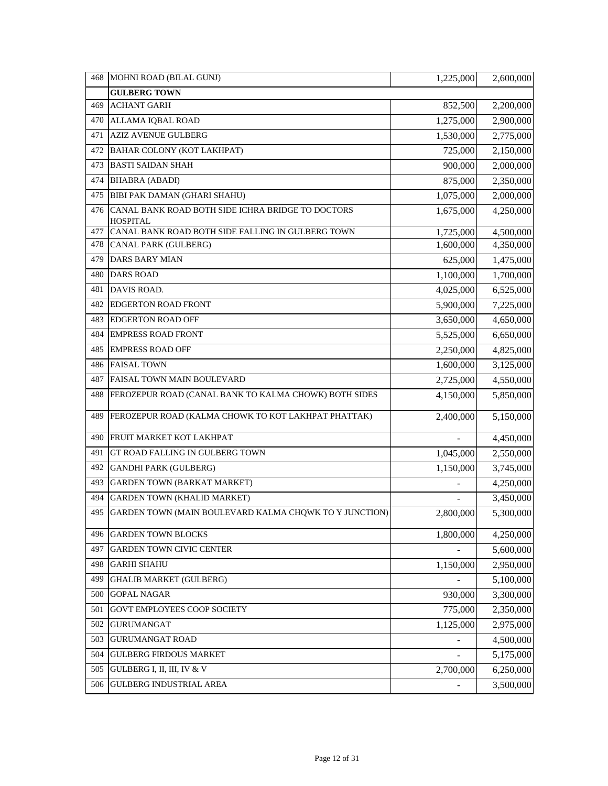| 468 | MOHNI ROAD (BILAL GUNJ)                                              | 1,225,000      | 2,600,000 |
|-----|----------------------------------------------------------------------|----------------|-----------|
|     | <b>GULBERG TOWN</b>                                                  |                |           |
| 469 | <b>ACHANT GARH</b>                                                   | 852,500        | 2,200,000 |
| 470 | ALLAMA IQBAL ROAD                                                    | 1,275,000      | 2,900,000 |
| 471 | <b>AZIZ AVENUE GULBERG</b>                                           | 1,530,000      | 2,775,000 |
| 472 | BAHAR COLONY (KOT LAKHPAT)                                           | 725,000        | 2,150,000 |
| 473 | <b>BASTI SAIDAN SHAH</b>                                             | 900,000        | 2,000,000 |
| 474 | <b>BHABRA (ABADI)</b>                                                | 875,000        | 2,350,000 |
| 475 | BIBI PAK DAMAN (GHARI SHAHU)                                         | 1,075,000      | 2,000,000 |
| 476 | CANAL BANK ROAD BOTH SIDE ICHRA BRIDGE TO DOCTORS<br><b>HOSPITAL</b> | 1,675,000      | 4,250,000 |
| 477 | CANAL BANK ROAD BOTH SIDE FALLING IN GULBERG TOWN                    | 1,725,000      | 4,500,000 |
| 478 | CANAL PARK (GULBERG)                                                 | 1,600,000      | 4,350,000 |
| 479 | <b>DARS BARY MIAN</b>                                                | 625,000        | 1,475,000 |
| 480 | <b>DARS ROAD</b>                                                     | 1,100,000      | 1,700,000 |
| 481 | DAVIS ROAD.                                                          | 4,025,000      | 6,525,000 |
| 482 | <b>EDGERTON ROAD FRONT</b>                                           | 5,900,000      | 7,225,000 |
| 483 | <b>EDGERTON ROAD OFF</b>                                             | 3,650,000      | 4,650,000 |
| 484 | <b>EMPRESS ROAD FRONT</b>                                            | 5,525,000      | 6,650,000 |
| 485 | <b>EMPRESS ROAD OFF</b>                                              | 2,250,000      | 4,825,000 |
| 486 | <b>FAISAL TOWN</b>                                                   | 1,600,000      | 3,125,000 |
| 487 | FAISAL TOWN MAIN BOULEVARD                                           | 2,725,000      | 4,550,000 |
| 488 | FEROZEPUR ROAD (CANAL BANK TO KALMA CHOWK) BOTH SIDES                | 4,150,000      | 5,850,000 |
| 489 | FEROZEPUR ROAD (KALMA CHOWK TO KOT LAKHPAT PHATTAK)                  | 2,400,000      | 5,150,000 |
| 490 | FRUIT MARKET KOT LAKHPAT                                             |                | 4,450,000 |
| 491 | GT ROAD FALLING IN GULBERG TOWN                                      | 1,045,000      | 2,550,000 |
| 492 | <b>GANDHI PARK (GULBERG)</b>                                         | 1,150,000      | 3,745,000 |
| 493 | <b>GARDEN TOWN (BARKAT MARKET)</b>                                   |                | 4,250,000 |
| 494 | <b>GARDEN TOWN (KHALID MARKET)</b>                                   |                | 3,450,000 |
| 495 | GARDEN TOWN (MAIN BOULEVARD KALMA CHQWK TO Y JUNCTION)               | 2,800,000      | 5,300,000 |
| 496 | <b>GARDEN TOWN BLOCKS</b>                                            | 1,800,000      | 4,250,000 |
| 497 | <b>GARDEN TOWN CIVIC CENTER</b>                                      |                | 5,600,000 |
| 498 | <b>GARHI SHAHU</b>                                                   | 1,150,000      | 2,950,000 |
| 499 | <b>GHALIB MARKET (GULBERG)</b>                                       |                | 5,100,000 |
| 500 | <b>GOPAL NAGAR</b>                                                   | 930,000        | 3,300,000 |
| 501 | GOVT EMPLOYEES COOP SOCIETY                                          | 775,000        | 2,350,000 |
| 502 | <b>GURUMANGAT</b>                                                    | 1,125,000      | 2,975,000 |
| 503 | <b>GURUMANGAT ROAD</b>                                               |                | 4,500,000 |
| 504 | <b>GULBERG FIRDOUS MARKET</b>                                        |                | 5,175,000 |
| 505 | GULBERG I, II, III, IV & V                                           | 2,700,000      | 6,250,000 |
| 506 | <b>GULBERG INDUSTRIAL AREA</b>                                       | $\overline{a}$ | 3,500,000 |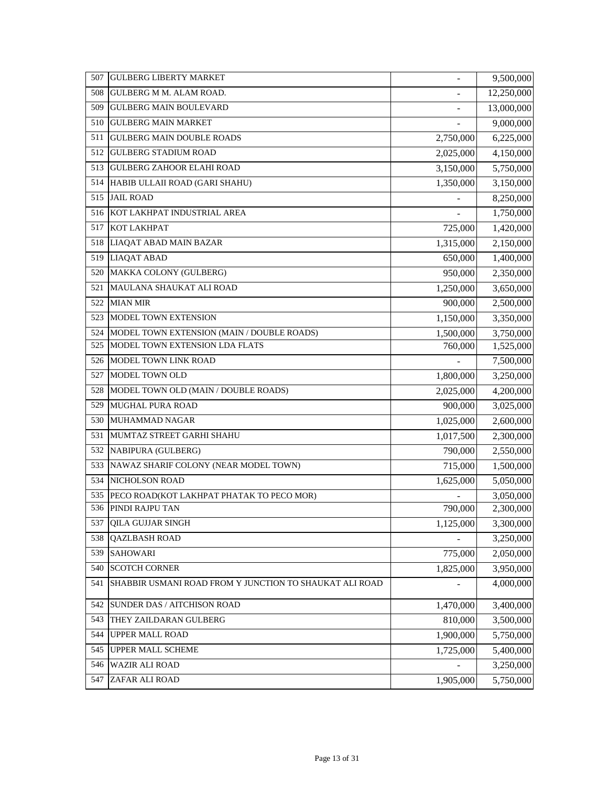| 507 | <b>GULBERG LIBERTY MARKET</b>                           | $\overline{a}$           | 9,500,000  |
|-----|---------------------------------------------------------|--------------------------|------------|
| 508 | <b>GULBERG M M. ALAM ROAD.</b>                          | $\overline{a}$           | 12,250,000 |
| 509 | <b>GULBERG MAIN BOULEVARD</b>                           | $\overline{\phantom{0}}$ | 13,000,000 |
| 510 | <b>GULBERG MAIN MARKET</b>                              |                          | 9,000,000  |
| 511 | <b>GULBERG MAIN DOUBLE ROADS</b>                        | 2,750,000                | 6,225,000  |
| 512 | <b>GULBERG STADIUM ROAD</b>                             | 2,025,000                | 4,150,000  |
| 513 | <b>GULBERG ZAHOOR ELAHI ROAD</b>                        | 3,150,000                | 5,750,000  |
| 514 | HABIB ULLAII ROAD (GARI SHAHU)                          | 1,350,000                | 3,150,000  |
| 515 | <b>JAIL ROAD</b>                                        |                          | 8,250,000  |
| 516 | KOT LAKHPAT INDUSTRIAL AREA                             |                          | 1,750,000  |
| 517 | <b>KOT LAKHPAT</b>                                      | 725,000                  | 1,420,000  |
| 518 | LIAQAT ABAD MAIN BAZAR                                  | 1,315,000                | 2,150,000  |
| 519 | <b>LIAQAT ABAD</b>                                      | 650,000                  | 1,400,000  |
| 520 | MAKKA COLONY (GULBERG)                                  | 950,000                  | 2,350,000  |
| 521 | <b>MAULANA SHAUKAT ALI ROAD</b>                         | 1,250,000                | 3,650,000  |
| 522 | <b>MIAN MIR</b>                                         | 900,000                  | 2,500,000  |
| 523 | MODEL TOWN EXTENSION                                    | 1,150,000                | 3,350,000  |
| 524 | MODEL TOWN EXTENSION (MAIN / DOUBLE ROADS)              | 1,500,000                | 3,750,000  |
| 525 | MODEL TOWN EXTENSION LDA FLATS                          | 760,000                  | 1,525,000  |
| 526 | MODEL TOWN LINK ROAD                                    |                          | 7,500,000  |
| 527 | MODEL TOWN OLD                                          | 1,800,000                | 3,250,000  |
| 528 | MODEL TOWN OLD (MAIN / DOUBLE ROADS)                    | 2,025,000                | 4,200,000  |
| 529 | <b>MUGHAL PURA ROAD</b>                                 | 900,000                  | 3,025,000  |
| 530 | <b>MUHAMMAD NAGAR</b>                                   | 1,025,000                | 2,600,000  |
| 531 | MUMTAZ STREET GARHI SHAHU                               | 1,017,500                | 2,300,000  |
| 532 | NABIPURA (GULBERG)                                      | 790,000                  | 2,550,000  |
| 533 | NAWAZ SHARIF COLONY (NEAR MODEL TOWN)                   | 715,000                  | 1,500,000  |
| 534 | NICHOLSON ROAD                                          | 1,625,000                | 5,050,000  |
| 535 | PECO ROAD(KOT LAKHPAT PHATAK TO PECO MOR)               |                          | 3,050,000  |
| 536 | PINDI RAJPU TAN                                         | 790,000                  | 2,300,000  |
| 537 | <b>QILA GUJJAR SINGH</b>                                | 1,125,000                | 3,300,000  |
| 538 | <b>QAZLBASH ROAD</b>                                    |                          | 3,250,000  |
| 539 | <b>SAHOWARI</b>                                         | 775,000                  | 2,050,000  |
| 540 | <b>SCOTCH CORNER</b>                                    | 1,825,000                | 3,950,000  |
| 541 | SHABBIR USMANI ROAD FROM Y JUNCTION TO SHAUKAT ALI ROAD |                          | 4,000,000  |
| 542 | SUNDER DAS / AITCHISON ROAD                             | 1,470,000                | 3,400,000  |
| 543 | THEY ZAILDARAN GULBERG                                  | 810,000                  | 3,500,000  |
| 544 | UPPER MALL ROAD                                         | 1,900,000                | 5,750,000  |
| 545 | UPPER MALL SCHEME                                       | 1,725,000                | 5,400,000  |
| 546 | <b>WAZIR ALI ROAD</b>                                   |                          | 3,250,000  |
| 547 | ZAFAR ALI ROAD                                          | 1,905,000                | 5,750,000  |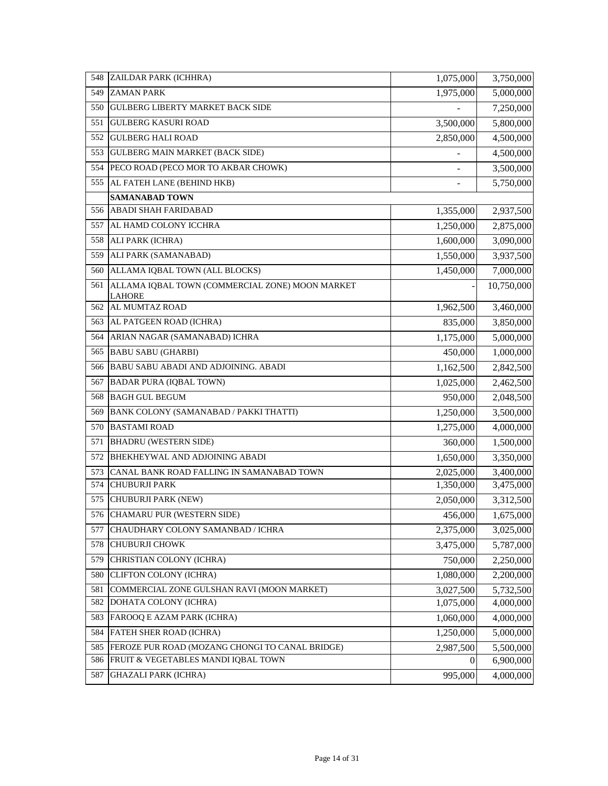| 548 | ZAILDAR PARK (ICHHRA)                                            | 1,075,000 | 3,750,000  |
|-----|------------------------------------------------------------------|-----------|------------|
| 549 | <b>ZAMAN PARK</b>                                                | 1,975,000 | 5,000,000  |
| 550 | <b>GULBERG LIBERTY MARKET BACK SIDE</b>                          |           | 7,250,000  |
| 551 | <b>GULBERG KASURI ROAD</b>                                       | 3,500,000 | 5,800,000  |
| 552 | <b>GULBERG HALI ROAD</b>                                         | 2,850,000 | 4,500,000  |
| 553 | <b>GULBERG MAIN MARKET (BACK SIDE)</b>                           |           | 4,500,000  |
| 554 | PECO ROAD (PECO MOR TO AKBAR CHOWK)                              |           | 3,500,000  |
| 555 | AL FATEH LANE (BEHIND HKB)                                       |           | 5,750,000  |
|     | SAMANABAD TOWN                                                   |           |            |
| 556 | <b>ABADI SHAH FARIDABAD</b>                                      | 1,355,000 | 2,937,500  |
| 557 | AL HAMD COLONY ICCHRA                                            | 1,250,000 | 2,875,000  |
| 558 | ALI PARK (ICHRA)                                                 | 1,600,000 | 3,090,000  |
| 559 | ALI PARK (SAMANABAD)                                             | 1,550,000 | 3,937,500  |
| 560 | ALLAMA IQBAL TOWN (ALL BLOCKS)                                   | 1,450,000 | 7,000,000  |
| 561 | ALLAMA IOBAL TOWN (COMMERCIAL ZONE) MOON MARKET<br><b>LAHORE</b> |           | 10,750,000 |
| 562 | AL MUMTAZ ROAD                                                   | 1,962,500 | 3,460,000  |
| 563 | AL PATGEEN ROAD (ICHRA)                                          | 835,000   | 3,850,000  |
| 564 | ARIAN NAGAR (SAMANABAD) ICHRA                                    | 1,175,000 | 5,000,000  |
| 565 | <b>BABU SABU (GHARBI)</b>                                        | 450,000   | 1,000,000  |
| 566 | BABU SABU ABADI AND ADJOINING. ABADI                             | 1,162,500 | 2,842,500  |
| 567 | <b>BADAR PURA (IQBAL TOWN)</b>                                   | 1,025,000 | 2,462,500  |
| 568 | <b>BAGH GUL BEGUM</b>                                            | 950,000   | 2,048,500  |
| 569 | BANK COLONY (SAMANABAD / PAKKI THATTI)                           | 1,250,000 | 3,500,000  |
| 570 | <b>BASTAMI ROAD</b>                                              | 1,275,000 | 4,000,000  |
| 571 | <b>BHADRU (WESTERN SIDE)</b>                                     | 360,000   | 1,500,000  |
| 572 | BHEKHEYWAL AND ADJOINING ABADI                                   | 1,650,000 | 3,350,000  |
| 573 | CANAL BANK ROAD FALLING IN SAMANABAD TOWN                        | 2,025,000 | 3,400,000  |
| 574 | <b>CHUBURJI PARK</b>                                             | 1,350,000 | 3,475,000  |
| 575 | CHUBURJI PARK (NEW)                                              | 2,050,000 | 3,312,500  |
|     | 576 CHAMARU PUR (WESTERN SIDE)                                   | 456,000   | 1,675,000  |
| 577 | CHAUDHARY COLONY SAMANBAD / ICHRA                                | 2,375,000 | 3,025,000  |
| 578 | <b>CHUBURJI CHOWK</b>                                            | 3,475,000 | 5,787,000  |
| 579 | CHRISTIAN COLONY (ICHRA)                                         | 750,000   | 2,250,000  |
| 580 | CLIFTON COLONY (ICHRA)                                           | 1,080,000 | 2,200,000  |
| 581 | COMMERCIAL ZONE GULSHAN RAVI (MOON MARKET)                       | 3,027,500 | 5,732,500  |
| 582 | DOHATA COLONY (ICHRA)                                            | 1,075,000 | 4,000,000  |
| 583 | FAROOQ E AZAM PARK (ICHRA)                                       | 1,060,000 | 4,000,000  |
| 584 | FATEH SHER ROAD (ICHRA)                                          | 1,250,000 | 5,000,000  |
| 585 | FEROZE PUR ROAD (MOZANG CHONGI TO CANAL BRIDGE)                  | 2,987,500 | 5,500,000  |
| 586 | FRUIT & VEGETABLES MANDI IQBAL TOWN                              | 0         | 6,900,000  |
| 587 | <b>GHAZALI PARK (ICHRA)</b>                                      | 995,000   | 4,000,000  |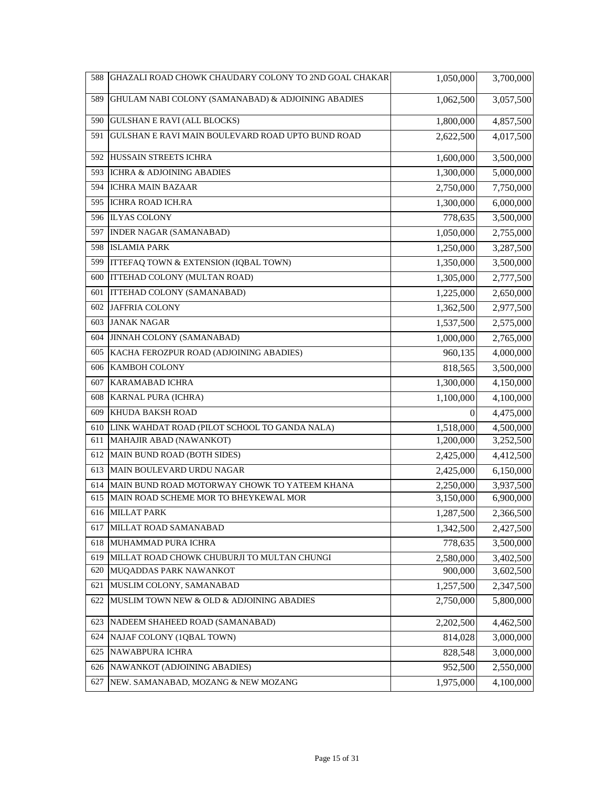| 588 | GHAZALI ROAD CHOWK CHAUDARY COLONY TO 2ND GOAL CHAKAR | 1,050,000 | 3,700,000 |
|-----|-------------------------------------------------------|-----------|-----------|
| 589 | GHULAM NABI COLONY (SAMANABAD) & ADJOINING ABADIES    | 1,062,500 | 3,057,500 |
| 590 | <b>GULSHAN E RAVI (ALL BLOCKS)</b>                    | 1,800,000 | 4,857,500 |
| 591 | GULSHAN E RAVI MAIN BOULEVARD ROAD UPTO BUND ROAD     | 2,622,500 | 4,017,500 |
| 592 | HUSSAIN STREETS ICHRA                                 | 1,600,000 | 3,500,000 |
| 593 | ICHRA & ADJOINING ABADIES                             | 1,300,000 | 5,000,000 |
| 594 | <b>ICHRA MAIN BAZAAR</b>                              | 2,750,000 | 7,750,000 |
| 595 | <b>ICHRA ROAD ICH.RA</b>                              | 1,300,000 | 6,000,000 |
| 596 | <b>ILYAS COLONY</b>                                   | 778,635   | 3,500,000 |
| 597 | <b>INDER NAGAR (SAMANABAD)</b>                        | 1,050,000 | 2,755,000 |
| 598 | <b>ISLAMIA PARK</b>                                   | 1,250,000 | 3,287,500 |
| 599 | ITTEFAQ TOWN & EXTENSION (IQBAL TOWN)                 | 1,350,000 | 3,500,000 |
| 600 | ITTEHAD COLONY (MULTAN ROAD)                          | 1,305,000 | 2,777,500 |
| 601 | ITTEHAD COLONY (SAMANABAD)                            | 1,225,000 | 2,650,000 |
| 602 | <b>JAFFRIA COLONY</b>                                 | 1,362,500 | 2,977,500 |
| 603 | <b>JANAK NAGAR</b>                                    | 1,537,500 | 2,575,000 |
| 604 | JINNAH COLONY (SAMANABAD)                             | 1,000,000 | 2,765,000 |
| 605 | KACHA FEROZPUR ROAD (ADJOINING ABADIES)               | 960,135   | 4,000,000 |
| 606 | <b>KAMBOH COLONY</b>                                  | 818,565   | 3,500,000 |
| 607 | <b>KARAMABAD ICHRA</b>                                | 1,300,000 | 4,150,000 |
| 608 | KARNAL PURA (ICHRA)                                   | 1,100,000 | 4,100,000 |
| 609 | KHUDA BAKSH ROAD                                      | 0         | 4,475,000 |
| 610 | LINK WAHDAT ROAD (PILOT SCHOOL TO GANDA NALA)         | 1,518,000 | 4,500,000 |
| 611 | MAHAJIR ABAD (NAWANKOT)                               | 1,200,000 | 3,252,500 |
| 612 | MAIN BUND ROAD (BOTH SIDES)                           | 2,425,000 | 4,412,500 |
| 613 | MAIN BOULEVARD URDU NAGAR                             | 2,425,000 | 6,150,000 |
| 614 | MAIN BUND ROAD MOTORWAY CHOWK TO YATEEM KHANA         | 2,250,000 | 3,937,500 |
| 615 | MAIN ROAD SCHEME MOR TO BHEYKEWAL MOR                 | 3,150,000 | 6,900,000 |
|     | 616 MILLAT PARK                                       | 1,287,500 | 2,366,500 |
| 617 | MILLAT ROAD SAMANABAD                                 | 1,342,500 | 2,427,500 |
| 618 | MUHAMMAD PURA ICHRA                                   | 778,635   | 3,500,000 |
| 619 | MILLAT ROAD CHOWK CHUBURJI TO MULTAN CHUNGI           | 2,580,000 | 3,402,500 |
| 620 | MUQADDAS PARK NAWANKOT                                | 900,000   | 3,602,500 |
| 621 | MUSLIM COLONY, SAMANABAD                              | 1,257,500 | 2,347,500 |
| 622 | MUSLIM TOWN NEW & OLD & ADJOINING ABADIES             | 2,750,000 | 5,800,000 |
| 623 | NADEEM SHAHEED ROAD (SAMANABAD)                       | 2,202,500 | 4,462,500 |
| 624 | NAJAF COLONY (1QBAL TOWN)                             | 814,028   | 3,000,000 |
| 625 | NAWABPURA ICHRA                                       | 828,548   | 3,000,000 |
| 626 | NAWANKOT (ADJOINING ABADIES)                          | 952,500   | 2,550,000 |
| 627 | NEW. SAMANABAD, MOZANG & NEW MOZANG                   | 1,975,000 | 4,100,000 |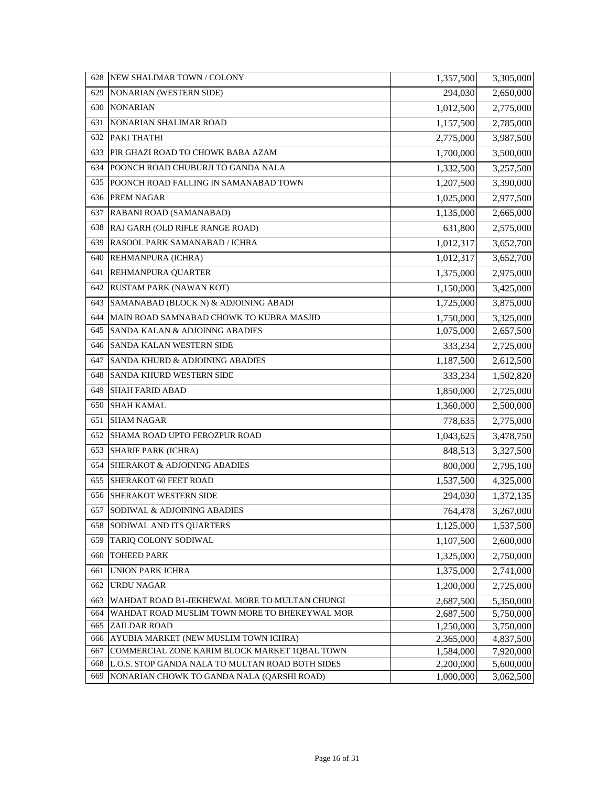| 628        | NEW SHALIMAR TOWN / COLONY                                                                        | 1,357,500              | 3,305,000              |
|------------|---------------------------------------------------------------------------------------------------|------------------------|------------------------|
| 629        | NONARIAN (WESTERN SIDE)                                                                           | 294,030                | 2,650,000              |
| 630        | <b>NONARIAN</b>                                                                                   | 1,012,500              | 2,775,000              |
| 631        | NONARIAN SHALIMAR ROAD                                                                            | 1,157,500              | 2,785,000              |
| 632        | PAKI THATHI                                                                                       | 2,775,000              | 3,987,500              |
| 633        | PIR GHAZI ROAD TO CHOWK BABA AZAM                                                                 | 1,700,000              | 3,500,000              |
| 634        | POONCH ROAD CHUBURJI TO GANDA NALA                                                                | 1,332,500              | 3,257,500              |
| 635        | POONCH ROAD FALLING IN SAMANABAD TOWN                                                             | 1,207,500              | 3,390,000              |
| 636        | <b>PREM NAGAR</b>                                                                                 | 1,025,000              | 2,977,500              |
| 637        | RABANI ROAD (SAMANABAD)                                                                           | 1,135,000              | 2,665,000              |
| 638        | RAJ GARH (OLD RIFLE RANGE ROAD)                                                                   | 631,800                | 2,575,000              |
| 639        | RASOOL PARK SAMANABAD / ICHRA                                                                     | 1,012,317              | 3,652,700              |
| 640        | REHMANPURA (ICHRA)                                                                                | 1,012,317              | 3,652,700              |
| 641        | <b>REHMANPURA QUARTER</b>                                                                         | 1,375,000              | 2,975,000              |
| 642        | RUSTAM PARK (NAWAN KOT)                                                                           | 1,150,000              | 3,425,000              |
| 643        | SAMANABAD (BLOCK N) & ADJOINING ABADI                                                             | 1,725,000              | 3,875,000              |
| 644        | MAIN ROAD SAMNABAD CHOWK TO KUBRA MASJID                                                          | 1,750,000              | 3,325,000              |
| 645        | SANDA KALAN & ADJOINNG ABADIES                                                                    | 1,075,000              | 2,657,500              |
| 646        | <b>SANDA KALAN WESTERN SIDE</b>                                                                   | 333,234                | 2,725,000              |
| 647        | SANDA KHURD & ADJOINING ABADIES                                                                   | 1,187,500              | 2,612,500              |
| 648        | <b>SANDA KHURD WESTERN SIDE</b>                                                                   | 333,234                | 1,502,820              |
| 649        | <b>SHAH FARID ABAD</b>                                                                            | 1,850,000              | 2,725,000              |
| 650        | <b>SHAH KAMAL</b>                                                                                 | 1,360,000              | 2,500,000              |
| 651        | <b>SHAM NAGAR</b>                                                                                 | 778,635                | 2,775,000              |
| 652        | SHAMA ROAD UPTO FEROZPUR ROAD                                                                     | 1,043,625              | 3,478,750              |
| 653        | <b>SHARIF PARK (ICHRA)</b>                                                                        | 848,513                | 3,327,500              |
| 654        | <b>SHERAKOT &amp; ADJOINING ABADIES</b>                                                           | 800,000                | 2,795,100              |
| 655        | SHERAKOT 60 FEET ROAD                                                                             | 1,537,500              | 4,325,000              |
| 656        | <b>SHERAKOT WESTERN SIDE</b>                                                                      | 294,030                | 1,372,135              |
| 657        | SODIWAL & ADJOINING ABADIES                                                                       | 764,478                | 3,267,000              |
| 658        | SODIWAL AND ITS QUARTERS                                                                          | 1,125,000              | 1,537,500              |
| 659        | TARIQ COLONY SODIWAL                                                                              | 1,107,500              | 2,600,000              |
| 660        | TOHEED PARK                                                                                       | 1,325,000              | 2,750,000              |
| 661        | <b>UNION PARK ICHRA</b>                                                                           | 1,375,000              | 2,741,000              |
| 662        | <b>URDU NAGAR</b>                                                                                 | 1,200,000              | 2,725,000              |
| 663        | WAHDAT ROAD B1-IEKHEWAL MORE TO MULTAN CHUNGI                                                     | 2,687,500              | 5,350,000              |
| 664        | WAHDAT ROAD MUSLIM TOWN MORE TO BHEKEYWAL MOR                                                     | 2,687,500              | 5,750,000              |
| 665        | ZAILDAR ROAD                                                                                      | 1,250,000              | 3,750,000              |
| 666        | AYUBIA MARKET (NEW MUSLIM TOWN ICHRA)                                                             | 2,365,000              | 4,837,500              |
| 667<br>668 | COMMERCIAL ZONE KARIM BLOCK MARKET 1QBAL TOWN<br>L.O.S. STOP GANDA NALA TO MULTAN ROAD BOTH SIDES | 1,584,000<br>2,200,000 | 7,920,000<br>5,600,000 |
| 669        | NONARIAN CHOWK TO GANDA NALA (QARSHI ROAD)                                                        | 1,000,000              | $\overline{3,062,500}$ |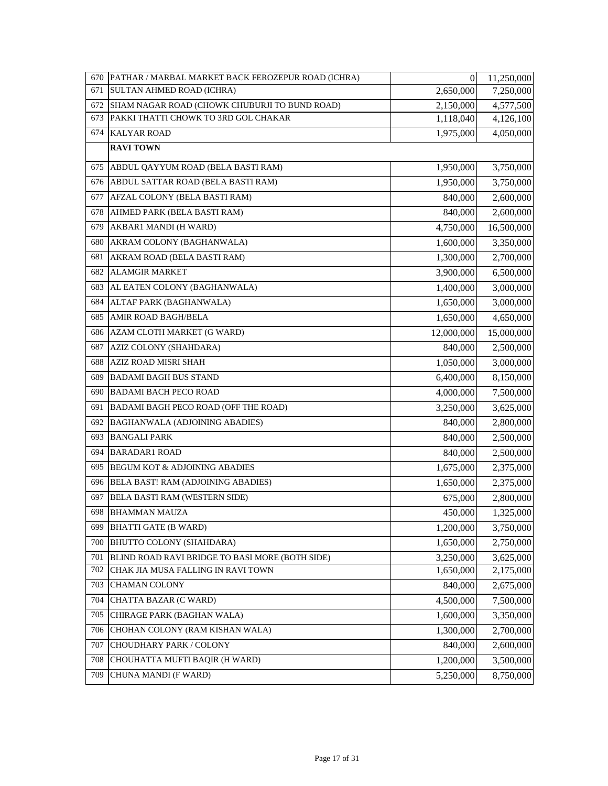| 670 | PATHAR / MARBAL MARKET BACK FEROZEPUR ROAD (ICHRA) | $\boldsymbol{0}$ | 11,250,000 |
|-----|----------------------------------------------------|------------------|------------|
| 671 | SULTAN AHMED ROAD (ICHRA)                          | 2,650,000        | 7,250,000  |
| 672 | SHAM NAGAR ROAD (CHOWK CHUBURJI TO BUND ROAD)      | 2,150,000        | 4,577,500  |
| 673 | PAKKI THATTI CHOWK TO 3RD GOL CHAKAR               | 1,118,040        | 4,126,100  |
| 674 | <b>KALYAR ROAD</b>                                 | 1,975,000        | 4,050,000  |
|     | <b>RAVI TOWN</b>                                   |                  |            |
| 675 | ABDUL QAYYUM ROAD (BELA BASTI RAM)                 | 1,950,000        | 3,750,000  |
| 676 | ABDUL SATTAR ROAD (BELA BASTI RAM)                 | 1,950,000        | 3,750,000  |
| 677 | AFZAL COLONY (BELA BASTI RAM)                      | 840,000          | 2,600,000  |
| 678 | AHMED PARK (BELA BASTI RAM)                        | 840,000          | 2,600,000  |
| 679 | AKBAR1 MANDI (H WARD)                              | 4,750,000        | 16,500,000 |
| 680 | AKRAM COLONY (BAGHANWALA)                          | 1,600,000        | 3,350,000  |
| 681 | AKRAM ROAD (BELA BASTI RAM)                        | 1,300,000        | 2,700,000  |
| 682 | <b>ALAMGIR MARKET</b>                              | 3,900,000        | 6,500,000  |
| 683 | AL EATEN COLONY (BAGHANWALA)                       | 1,400,000        | 3,000,000  |
| 684 | ALTAF PARK (BAGHANWALA)                            | 1,650,000        | 3,000,000  |
| 685 | AMIR ROAD BAGH/BELA                                | 1,650,000        | 4,650,000  |
| 686 | AZAM CLOTH MARKET (G WARD)                         | 12,000,000       | 15,000,000 |
| 687 | AZIZ COLONY (SHAHDARA)                             | 840,000          | 2,500,000  |
| 688 | AZIZ ROAD MISRI SHAH                               | 1,050,000        | 3,000,000  |
| 689 | <b>BADAMI BAGH BUS STAND</b>                       | 6,400,000        | 8,150,000  |
| 690 | <b>BADAMI BACH PECO ROAD</b>                       | 4,000,000        | 7,500,000  |
| 691 | BADAMI BAGH PECO ROAD (OFF THE ROAD)               | 3,250,000        | 3,625,000  |
| 692 | BAGHANWALA (ADJOINING ABADIES)                     | 840,000          | 2,800,000  |
| 693 | <b>BANGALI PARK</b>                                | 840,000          | 2,500,000  |
| 694 | <b>BARADAR1 ROAD</b>                               | 840,000          | 2,500,000  |
| 695 | BEGUM KOT & ADJOINING ABADIES                      | 1,675,000        | 2,375,000  |
| 696 | BELA BAST! RAM (ADJOINING ABADIES)                 | 1,650,000        | 2,375,000  |
| 697 | BELA BASTI RAM (WESTERN SIDE)                      | 675,000          | 2,800,000  |
| 698 | <b>BHAMMAN MAUZA</b>                               | 450,000          | 1,325,000  |
| 699 | <b>BHATTI GATE (B WARD)</b>                        | 1,200,000        | 3,750,000  |
| 700 | BHUTTO COLONY (SHAHDARA)                           | 1,650,000        | 2,750,000  |
| 701 | BLIND ROAD RAVI BRIDGE TO BASI MORE (BOTH SIDE)    | 3,250,000        | 3,625,000  |
| 702 | CHAK JIA MUSA FALLING IN RAVI TOWN                 | 1,650,000        | 2,175,000  |
| 703 | <b>CHAMAN COLONY</b>                               | 840,000          | 2,675,000  |
| 704 | CHATTA BAZAR (C WARD)                              | 4,500,000        | 7,500,000  |
| 705 | CHIRAGE PARK (BAGHAN WALA)                         | 1,600,000        | 3,350,000  |
| 706 | CHOHAN COLONY (RAM KISHAN WALA)                    | 1,300,000        | 2,700,000  |
| 707 | CHOUDHARY PARK / COLONY                            | 840,000          | 2,600,000  |
| 708 | CHOUHATTA MUFTI BAQIR (H WARD)                     | 1,200,000        | 3,500,000  |
| 709 | CHUNA MANDI (F WARD)                               | 5,250,000        | 8,750,000  |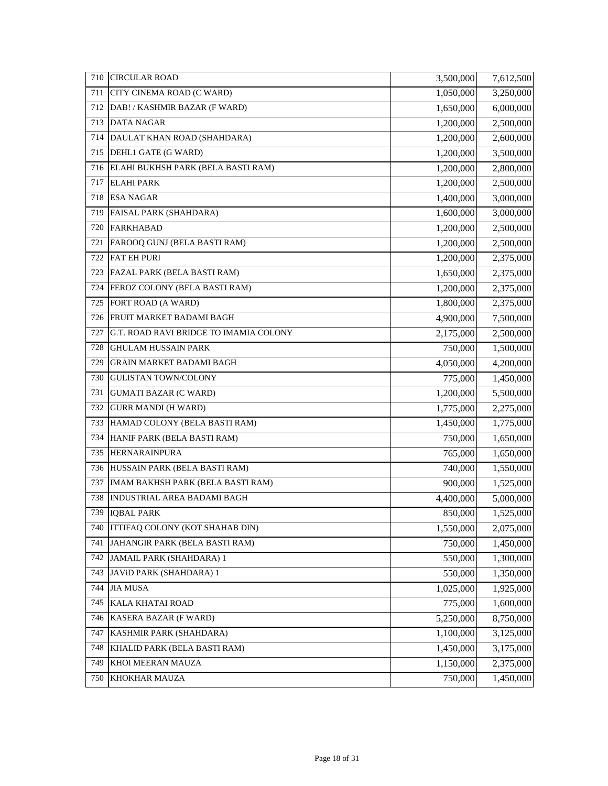| 710 | <b>CIRCULAR ROAD</b>                   | 3,500,000 | 7,612,500 |
|-----|----------------------------------------|-----------|-----------|
| 711 | CITY CINEMA ROAD (C WARD)              | 1,050,000 | 3,250,000 |
| 712 | DAB! / KASHMIR BAZAR (F WARD)          | 1,650,000 | 6,000,000 |
| 713 | <b>DATA NAGAR</b>                      | 1,200,000 | 2,500,000 |
| 714 | DAULAT KHAN ROAD (SHAHDARA)            | 1,200,000 | 2,600,000 |
| 715 | DEHL1 GATE (G WARD)                    | 1,200,000 | 3,500,000 |
| 716 | ELAHI BUKHSH PARK (BELA BASTI RAM)     | 1,200,000 | 2,800,000 |
| 717 | <b>ELAHI PARK</b>                      | 1,200,000 | 2,500,000 |
| 718 | <b>ESA NAGAR</b>                       | 1,400,000 | 3,000,000 |
| 719 | FAISAL PARK (SHAHDARA)                 | 1,600,000 | 3,000,000 |
| 720 | <b>FARKHABAD</b>                       | 1,200,000 | 2,500,000 |
| 721 | FAROOQ GUNJ (BELA BASTI RAM)           | 1,200,000 | 2,500,000 |
| 722 | <b>FAT EH PURI</b>                     | 1,200,000 | 2,375,000 |
| 723 | FAZAL PARK (BELA BASTI RAM)            | 1,650,000 | 2,375,000 |
| 724 | FEROZ COLONY (BELA BASTI RAM)          | 1,200,000 | 2,375,000 |
| 725 | FORT ROAD (A WARD)                     | 1,800,000 | 2,375,000 |
| 726 | FRUIT MARKET BADAMI BAGH               | 4,900,000 | 7,500,000 |
| 727 | G.T. ROAD RAVI BRIDGE TO IMAMIA COLONY | 2,175,000 | 2,500,000 |
| 728 | <b>GHULAM HUSSAIN PARK</b>             | 750,000   | 1,500,000 |
| 729 | <b>GRAIN MARKET BADAMI BAGH</b>        | 4,050,000 | 4,200,000 |
| 730 | <b>GULISTAN TOWN/COLONY</b>            | 775,000   | 1,450,000 |
| 731 | <b>GUMATI BAZAR (C WARD)</b>           | 1,200,000 | 5,500,000 |
| 732 | <b>GURR MANDI (H WARD)</b>             | 1,775,000 | 2,275,000 |
| 733 | HAMAD COLONY (BELA BASTI RAM)          | 1,450,000 | 1,775,000 |
| 734 | HANIF PARK (BELA BASTI RAM)            | 750,000   | 1,650,000 |
| 735 | HERNARAINPURA                          | 765,000   | 1,650,000 |
| 736 | HUSSAIN PARK (BELA BASTI RAM)          | 740,000   | 1,550,000 |
| 737 | IMAM BAKHSH PARK (BELA BASTI RAM)      | 900,000   | 1,525,000 |
| 738 | INDUSTRIAL AREA BADAMI BAGH            | 4,400,000 | 5,000,000 |
|     | 739 IQBAL PARK                         | 850,000   | 1,525,000 |
| 740 | ITTIFAQ COLONY (KOT SHAHAB DIN)        | 1,550,000 | 2,075,000 |
| 741 | JAHANGIR PARK (BELA BASTI RAM)         | 750,000   | 1,450,000 |
| 742 | JAMAIL PARK (SHAHDARA) 1               | 550,000   | 1,300,000 |
| 743 | JAVID PARK (SHAHDARA) 1                | 550,000   | 1,350,000 |
| 744 | <b>JIA MUSA</b>                        | 1,025,000 | 1,925,000 |
| 745 | KALA KHATAI ROAD                       | 775,000   | 1,600,000 |
| 746 | KASERA BAZAR (F WARD)                  | 5,250,000 | 8,750,000 |
| 747 | KASHMIR PARK (SHAHDARA)                | 1,100,000 | 3,125,000 |
| 748 | KHALID PARK (BELA BASTI RAM)           | 1,450,000 | 3,175,000 |
| 749 | KHOI MEERAN MAUZA                      | 1,150,000 | 2,375,000 |
| 750 | KHOKHAR MAUZA                          | 750,000   | 1,450,000 |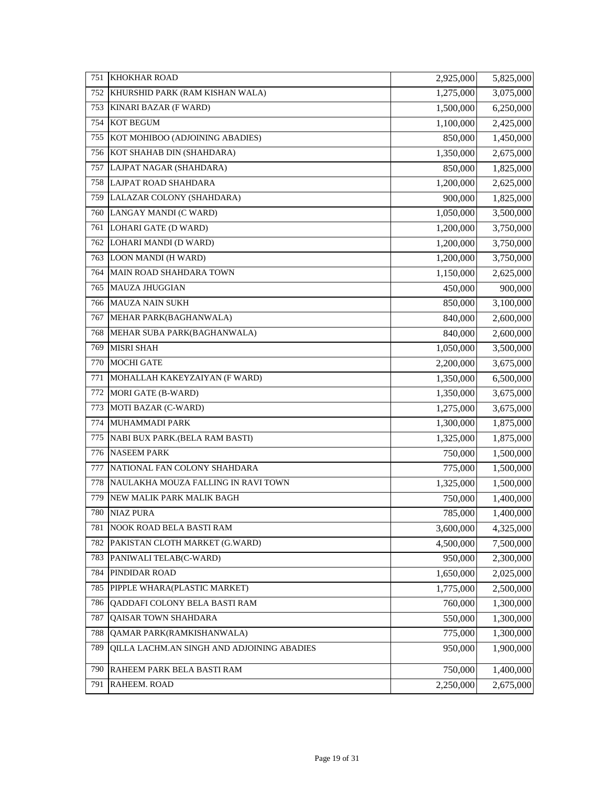| 751 | <b>KHOKHAR ROAD</b>                        | 2,925,000 | 5,825,000 |
|-----|--------------------------------------------|-----------|-----------|
| 752 | KHURSHID PARK (RAM KISHAN WALA)            | 1,275,000 | 3,075,000 |
| 753 | KINARI BAZAR (F WARD)                      | 1,500,000 | 6,250,000 |
| 754 | KOT BEGUM                                  | 1,100,000 | 2,425,000 |
| 755 | KOT MOHIBOO (ADJOINING ABADIES)            | 850,000   | 1,450,000 |
| 756 | KOT SHAHAB DIN (SHAHDARA)                  | 1,350,000 | 2,675,000 |
| 757 | LAJPAT NAGAR (SHAHDARA)                    | 850,000   | 1,825,000 |
| 758 | LAJPAT ROAD SHAHDARA                       | 1,200,000 | 2,625,000 |
| 759 | LALAZAR COLONY (SHAHDARA)                  | 900,000   | 1,825,000 |
| 760 | LANGAY MANDI (C WARD)                      | 1,050,000 | 3,500,000 |
| 761 | LOHARI GATE (D WARD)                       | 1,200,000 | 3,750,000 |
| 762 | LOHARI MANDI (D WARD)                      | 1,200,000 | 3,750,000 |
| 763 | LOON MANDI (H WARD)                        | 1,200,000 | 3,750,000 |
| 764 | MAIN ROAD SHAHDARA TOWN                    | 1,150,000 | 2,625,000 |
| 765 | <b>MAUZA JHUGGIAN</b>                      | 450,000   | 900,000   |
| 766 | <b>MAUZA NAIN SUKH</b>                     | 850,000   | 3,100,000 |
| 767 | MEHAR PARK(BAGHANWALA)                     | 840,000   | 2,600,000 |
| 768 | MEHAR SUBA PARK(BAGHANWALA)                | 840,000   | 2,600,000 |
| 769 | <b>MISRI SHAH</b>                          | 1,050,000 | 3,500,000 |
| 770 | <b>MOCHI GATE</b>                          | 2,200,000 | 3,675,000 |
| 771 | MOHALLAH KAKEYZAIYAN (F WARD)              | 1,350,000 | 6,500,000 |
| 772 | MORI GATE (B-WARD)                         | 1,350,000 | 3,675,000 |
| 773 | MOTI BAZAR (C-WARD)                        | 1,275,000 | 3,675,000 |
| 774 | MUHAMMADI PARK                             | 1,300,000 | 1,875,000 |
| 775 | NABI BUX PARK.(BELA RAM BASTI)             | 1,325,000 | 1,875,000 |
| 776 | <b>NASEEM PARK</b>                         | 750,000   | 1,500,000 |
| 777 | NATIONAL FAN COLONY SHAHDARA               | 775,000   | 1,500,000 |
| 778 | NAULAKHA MOUZA FALLING IN RAVI TOWN        | 1,325,000 | 1,500,000 |
| 779 | NEW MALIK PARK MALIK BAGH                  | 750,000   | 1,400,000 |
| 780 | <b>NIAZ PURA</b>                           | 785,000   | 1,400,000 |
| 781 | NOOK ROAD BELA BASTI RAM                   | 3,600,000 | 4,325,000 |
| 782 | PAKISTAN CLOTH MARKET (G.WARD)             | 4,500,000 | 7,500,000 |
| 783 | PANIWALI TELAB(C-WARD)                     | 950,000   | 2,300,000 |
| 784 | PINDIDAR ROAD                              | 1,650,000 | 2,025,000 |
| 785 | PIPPLE WHARA(PLASTIC MARKET)               | 1,775,000 | 2,500,000 |
| 786 | QADDAFI COLONY BELA BASTI RAM              | 760,000   | 1,300,000 |
| 787 | QAISAR TOWN SHAHDARA                       | 550,000   | 1,300,000 |
| 788 | QAMAR PARK(RAMKISHANWALA)                  | 775,000   | 1,300,000 |
| 789 | QILLA LACHM.AN SINGH AND ADJOINING ABADIES | 950,000   | 1,900,000 |
| 790 | RAHEEM PARK BELA BASTI RAM                 | 750,000   | 1,400,000 |
| 791 | RAHEEM. ROAD                               | 2,250,000 | 2,675,000 |
|     |                                            |           |           |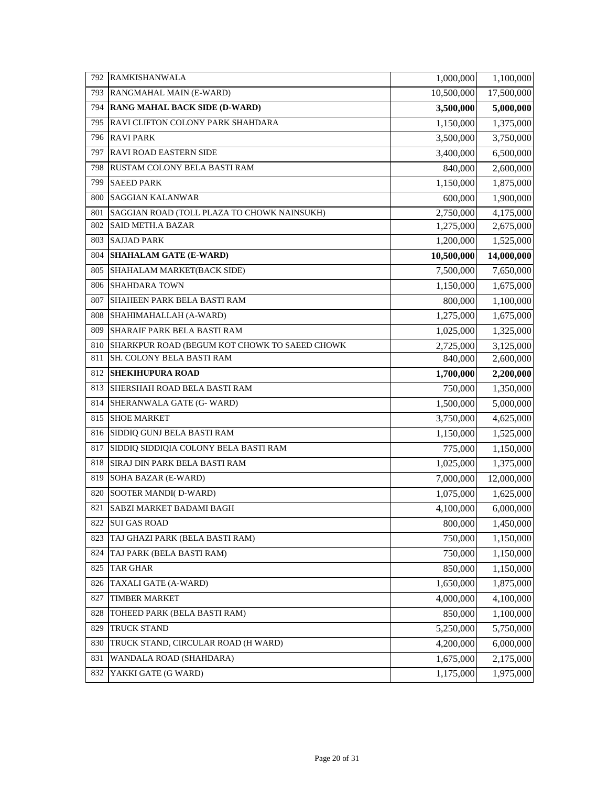| 792 | RAMKISHANWALA                                 | 1,000,000  | 1,100,000  |
|-----|-----------------------------------------------|------------|------------|
| 793 | RANGMAHAL MAIN (E-WARD)                       | 10,500,000 | 17,500,000 |
| 794 | <b>RANG MAHAL BACK SIDE (D-WARD)</b>          | 3,500,000  | 5,000,000  |
| 795 | RAVI CLIFTON COLONY PARK SHAHDARA             | 1,150,000  | 1,375,000  |
| 796 | <b>RAVIPARK</b>                               | 3,500,000  | 3,750,000  |
| 797 | <b>RAVI ROAD EASTERN SIDE</b>                 | 3,400,000  | 6,500,000  |
| 798 | RUSTAM COLONY BELA BASTI RAM                  | 840,000    | 2,600,000  |
| 799 | <b>SAEED PARK</b>                             | 1,150,000  | 1,875,000  |
| 800 | <b>SAGGIAN KALANWAR</b>                       | 600,000    | 1,900,000  |
| 801 | SAGGIAN ROAD (TOLL PLAZA TO CHOWK NAINSUKH)   | 2,750,000  | 4,175,000  |
| 802 | <b>SAID METH.A BAZAR</b>                      | 1,275,000  | 2,675,000  |
| 803 | <b>SAJJAD PARK</b>                            | 1,200,000  | 1,525,000  |
| 804 | <b>SHAHALAM GATE (E-WARD)</b>                 | 10,500,000 | 14,000,000 |
| 805 | SHAHALAM MARKET(BACK SIDE)                    | 7,500,000  | 7,650,000  |
| 806 | <b>SHAHDARA TOWN</b>                          | 1,150,000  | 1,675,000  |
| 807 | SHAHEEN PARK BELA BASTI RAM                   | 800,000    | 1,100,000  |
| 808 | SHAHIMAHALLAH (A-WARD)                        | 1,275,000  | 1,675,000  |
| 809 | SHARAIF PARK BELA BASTI RAM                   | 1,025,000  | 1,325,000  |
| 810 | SHARKPUR ROAD (BEGUM KOT CHOWK TO SAEED CHOWK | 2,725,000  | 3,125,000  |
| 811 | SH. COLONY BELA BASTI RAM                     | 840,000    | 2,600,000  |
| 812 | <b>SHEKIHUPURA ROAD</b>                       | 1,700,000  | 2,200,000  |
| 813 | SHERSHAH ROAD BELA BASTI RAM                  | 750,000    | 1,350,000  |
| 814 | SHERANWALA GATE (G- WARD)                     | 1,500,000  | 5,000,000  |
| 815 | <b>SHOE MARKET</b>                            | 3,750,000  | 4,625,000  |
| 816 | SIDDIQ GUNJ BELA BASTI RAM                    | 1,150,000  | 1,525,000  |
| 817 | SIDDIQ SIDDIQIA COLONY BELA BASTI RAM         | 775,000    | 1,150,000  |
| 818 | SIRAJ DIN PARK BELA BASTI RAM                 | 1,025,000  | 1,375,000  |
| 819 | SOHA BAZAR (E-WARD)                           | 7,000,000  | 12,000,000 |
| 820 | SOOTER MANDI(D-WARD)                          | 1,075,000  | 1,625,000  |
| 821 | <b>SABZI MARKET BADAMI BAGH</b>               | 4,100,000  | 6,000,000  |
| 822 | <b>SUI GAS ROAD</b>                           | 800,000    | 1,450,000  |
| 823 | TAJ GHAZI PARK (BELA BASTI RAM)               | 750,000    | 1,150,000  |
| 824 | TAJ PARK (BELA BASTI RAM)                     | 750,000    | 1,150,000  |
| 825 | TAR GHAR                                      | 850,000    | 1,150,000  |
| 826 | TAXALI GATE (A-WARD)                          | 1,650,000  | 1,875,000  |
| 827 | <b>TIMBER MARKET</b>                          | 4,000,000  | 4,100,000  |
| 828 | TOHEED PARK (BELA BASTI RAM)                  | 850,000    | 1,100,000  |
| 829 | TRUCK STAND                                   | 5,250,000  | 5,750,000  |
| 830 | TRUCK STAND, CIRCULAR ROAD (H WARD)           | 4,200,000  | 6,000,000  |
| 831 | WANDALA ROAD (SHAHDARA)                       | 1,675,000  | 2,175,000  |
| 832 | YAKKI GATE (G WARD)                           | 1,175,000  | 1,975,000  |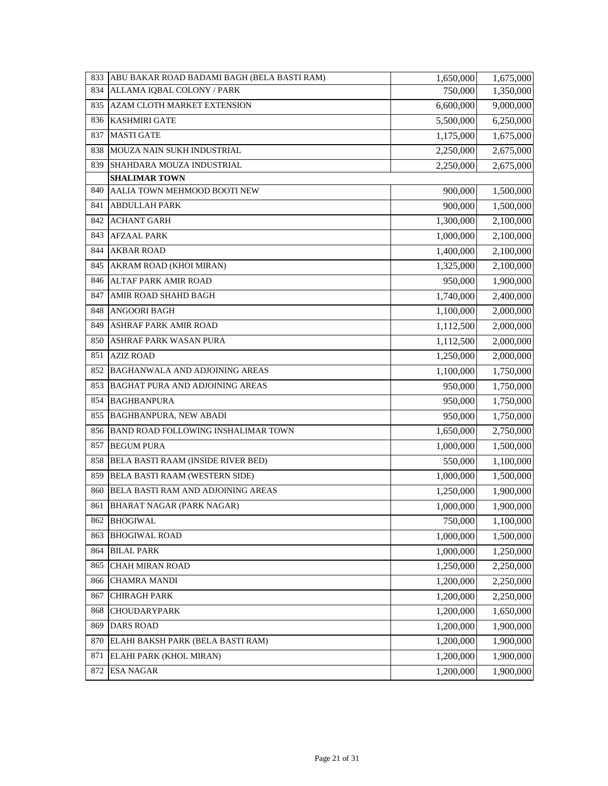| 833 | ABU BAKAR ROAD BADAMI BAGH (BELA BASTI RAM) | 1,650,000 | 1,675,000 |
|-----|---------------------------------------------|-----------|-----------|
| 834 | ALLAMA IQBAL COLONY / PARK                  | 750,000   | 1,350,000 |
| 835 | AZAM CLOTH MARKET EXTENSION                 | 6,600,000 | 9,000,000 |
| 836 | <b>KASHMIRI GATE</b>                        | 5,500,000 | 6,250,000 |
| 837 | <b>MASTI GATE</b>                           | 1,175,000 | 1,675,000 |
| 838 | MOUZA NAIN SUKH INDUSTRIAL                  | 2,250,000 | 2,675,000 |
| 839 | SHAHDARA MOUZA INDUSTRIAL                   | 2,250,000 | 2,675,000 |
|     | <b>SHALIMAR TOWN</b>                        |           |           |
| 840 | AALIA TOWN MEHMOOD BOOTI NEW                | 900,000   | 1,500,000 |
| 841 | <b>ABDULLAH PARK</b>                        | 900,000   | 1,500,000 |
| 842 | <b>ACHANT GARH</b>                          | 1,300,000 | 2,100,000 |
| 843 | <b>AFZAAL PARK</b>                          | 1,000,000 | 2,100,000 |
| 844 | <b>AKBAR ROAD</b>                           | 1,400,000 | 2,100,000 |
| 845 | AKRAM ROAD (KHOI MIRAN)                     | 1,325,000 | 2,100,000 |
| 846 | <b>ALTAF PARK AMIR ROAD</b>                 | 950,000   | 1,900,000 |
| 847 | AMIR ROAD SHAHD BAGH                        | 1,740,000 | 2,400,000 |
| 848 | <b>ANGOORI BAGH</b>                         | 1,100,000 | 2,000,000 |
| 849 | ASHRAF PARK AMIR ROAD                       | 1,112,500 | 2,000,000 |
| 850 | ASHRAF PARK WASAN PURA                      | 1,112,500 | 2,000,000 |
| 851 | <b>AZIZ ROAD</b>                            | 1,250,000 | 2,000,000 |
| 852 | BAGHANWALA AND ADJOINING AREAS              | 1,100,000 | 1,750,000 |
| 853 | BAGHAT PURA AND ADJOINING AREAS             | 950,000   | 1,750,000 |
| 854 | <b>BAGHBANPURA</b>                          | 950,000   | 1,750,000 |
| 855 | BAGHBANPURA, NEW ABADI                      | 950,000   | 1,750,000 |
| 856 | BAND ROAD FOLLOWING INSHALIMAR TOWN         | 1,650,000 | 2,750,000 |
| 857 | <b>BEGUM PURA</b>                           | 1,000,000 | 1,500,000 |
| 858 | BELA BASTI RAAM (INSIDE RIVER BED)          | 550,000   | 1,100,000 |
| 859 | BELA BASTI RAAM (WESTERN SIDE)              | 1,000,000 | 1,500,000 |
| 860 | <b>BELA BASTI RAM AND ADJOINING AREAS</b>   | 1,250,000 | 1,900,000 |
| 861 | <b>BHARAT NAGAR (PARK NAGAR)</b>            | 1,000,000 | 1,900,000 |
| 862 | <b>BHOGIWAL</b>                             | 750,000   | 1,100,000 |
| 863 | <b>BHOGIWAL ROAD</b>                        | 1,000,000 | 1,500,000 |
| 864 | <b>BILAL PARK</b>                           | 1,000,000 | 1,250,000 |
| 865 | CHAH MIRAN ROAD                             | 1,250,000 | 2,250,000 |
| 866 | <b>CHAMRA MANDI</b>                         | 1,200,000 | 2,250,000 |
| 867 | <b>CHIRAGH PARK</b>                         | 1,200,000 | 2,250,000 |
| 868 | CHOUDARYPARK                                | 1,200,000 | 1,650,000 |
| 869 | <b>DARS ROAD</b>                            | 1,200,000 | 1,900,000 |
| 870 | ELAHI BAKSH PARK (BELA BASTI RAM)           | 1,200,000 | 1,900,000 |
| 871 | ELAHI PARK (KHOL MIRAN)                     | 1,200,000 | 1,900,000 |
| 872 | <b>ESA NAGAR</b>                            | 1,200,000 | 1,900,000 |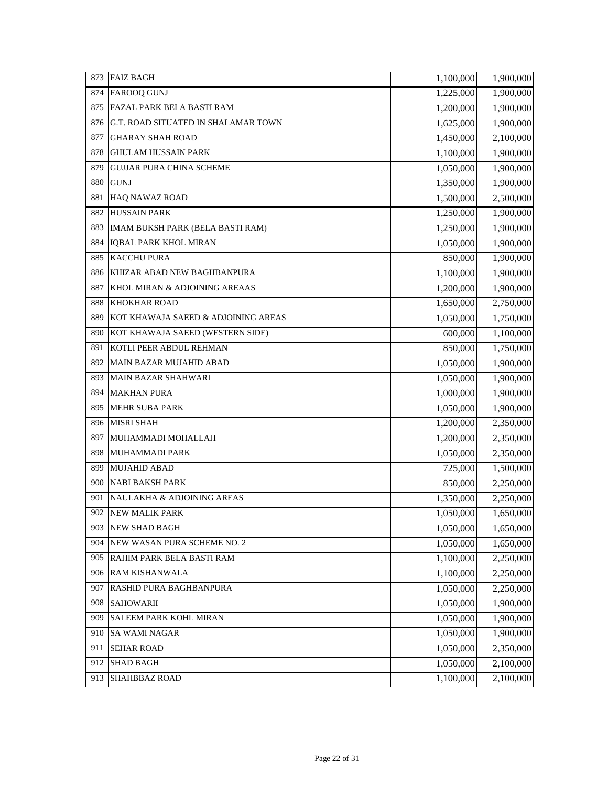| 873 | <b>FAIZ BAGH</b>                    | 1,100,000 | 1,900,000 |
|-----|-------------------------------------|-----------|-----------|
| 874 | <b>FAROOQ GUNJ</b>                  | 1,225,000 | 1,900,000 |
| 875 | <b>FAZAL PARK BELA BASTI RAM</b>    | 1,200,000 | 1,900,000 |
| 876 | G.T. ROAD SITUATED IN SHALAMAR TOWN | 1,625,000 | 1,900,000 |
| 877 | <b>GHARAY SHAH ROAD</b>             | 1,450,000 | 2,100,000 |
| 878 | <b>GHULAM HUSSAIN PARK</b>          | 1,100,000 | 1,900,000 |
| 879 | <b>GUJJAR PURA CHINA SCHEME</b>     | 1,050,000 | 1,900,000 |
| 880 | <b>GUNJ</b>                         | 1,350,000 | 1,900,000 |
| 881 | <b>HAQ NAWAZ ROAD</b>               | 1,500,000 | 2,500,000 |
| 882 | <b>HUSSAIN PARK</b>                 | 1,250,000 | 1,900,000 |
| 883 | IMAM BUKSH PARK (BELA BASTI RAM)    | 1,250,000 | 1,900,000 |
| 884 | IQBAL PARK KHOL MIRAN               | 1,050,000 | 1,900,000 |
| 885 | <b>KACCHU PURA</b>                  | 850,000   | 1,900,000 |
| 886 | KHIZAR ABAD NEW BAGHBANPURA         | 1,100,000 | 1,900,000 |
| 887 | KHOL MIRAN & ADJOINING AREAAS       | 1,200,000 | 1,900,000 |
| 888 | <b>KHOKHAR ROAD</b>                 | 1,650,000 | 2,750,000 |
| 889 | KOT KHAWAJA SAEED & ADJOINING AREAS | 1,050,000 | 1,750,000 |
| 890 | KOT KHAWAJA SAEED (WESTERN SIDE)    | 600,000   | 1,100,000 |
| 891 | KOTLI PEER ABDUL REHMAN             | 850,000   | 1,750,000 |
| 892 | <b>MAIN BAZAR MUJAHID ABAD</b>      | 1,050,000 | 1,900,000 |
| 893 | <b>MAIN BAZAR SHAHWARI</b>          | 1,050,000 | 1,900,000 |
| 894 | <b>MAKHAN PURA</b>                  | 1,000,000 | 1,900,000 |
| 895 | <b>MEHR SUBA PARK</b>               | 1,050,000 | 1,900,000 |
| 896 | <b>MISRI SHAH</b>                   | 1,200,000 | 2,350,000 |
| 897 | MUHAMMADI MOHALLAH                  | 1,200,000 | 2,350,000 |
| 898 | <b>MUHAMMADI PARK</b>               | 1,050,000 | 2,350,000 |
| 899 | <b>MUJAHID ABAD</b>                 | 725,000   | 1,500,000 |
| 900 | <b>NABI BAKSH PARK</b>              | 850,000   | 2,250,000 |
| 901 | NAULAKHA & ADJOINING AREAS          | 1,350,000 | 2,250,000 |
| 902 | NEW MALIK PARK                      | 1,050,000 | 1,650,000 |
|     | 903 NEW SHAD BAGH                   | 1,050,000 | 1,650,000 |
| 904 | NEW WASAN PURA SCHEME NO. 2         | 1,050,000 | 1,650,000 |
| 905 | RAHIM PARK BELA BASTI RAM           | 1,100,000 | 2,250,000 |
| 906 | RAM KISHANWALA                      | 1,100,000 | 2,250,000 |
| 907 | RASHID PURA BAGHBANPURA             | 1,050,000 | 2,250,000 |
| 908 | <b>SAHOWARII</b>                    | 1,050,000 | 1,900,000 |
| 909 | <b>SALEEM PARK KOHL MIRAN</b>       | 1,050,000 | 1,900,000 |
| 910 | <b>SA WAMI NAGAR</b>                | 1,050,000 | 1,900,000 |
| 911 | <b>SEHAR ROAD</b>                   | 1,050,000 | 2,350,000 |
| 912 | <b>SHAD BAGH</b>                    | 1,050,000 | 2,100,000 |
| 913 | SHAHBBAZ ROAD                       | 1,100,000 | 2,100,000 |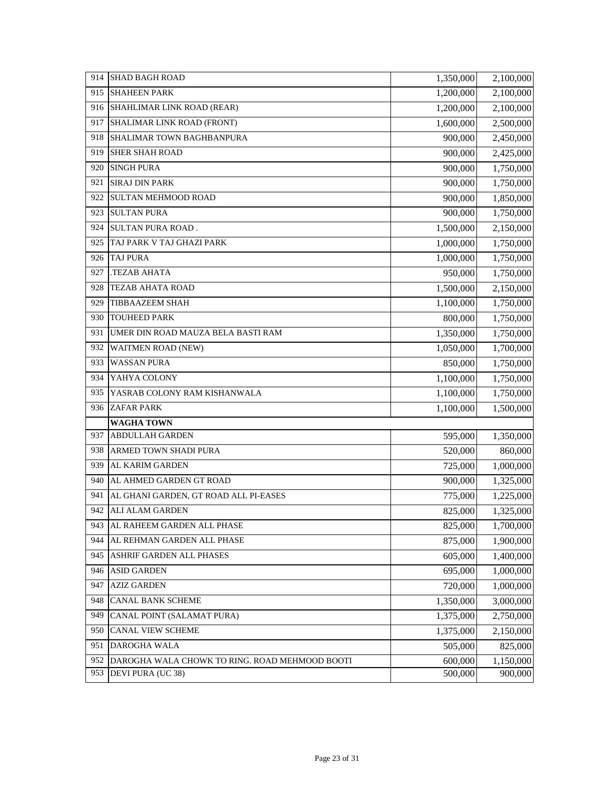| 914<br><b>SHAD BAGH ROAD</b>                          | 1,350,000 | 2,100,000 |
|-------------------------------------------------------|-----------|-----------|
| 915<br><b>SHAHEEN PARK</b>                            | 1,200,000 | 2,100,000 |
| SHAHLIMAR LINK ROAD (REAR)<br>916                     | 1,200,000 | 2,100,000 |
| SHALIMAR LINK ROAD (FRONT)<br>917                     | 1,600,000 | 2,500,000 |
| SHALIMAR TOWN BAGHBANPURA<br>918                      | 900,000   | 2,450,000 |
| <b>SHER SHAH ROAD</b><br>919                          | 900,000   | 2,425,000 |
| <b>SINGH PURA</b><br>920                              | 900,000   | 1,750,000 |
| <b>SIRAJ DIN PARK</b><br>921                          | 900,000   | 1,750,000 |
| <b>SULTAN MEHMOOD ROAD</b><br>922                     | 900,000   | 1,850,000 |
| <b>SULTAN PURA</b><br>923                             | 900,000   | 1,750,000 |
| <b>SULTAN PURA ROAD.</b><br>924                       | 1,500,000 | 2,150,000 |
| TAJ PARK V TAJ GHAZI PARK<br>925                      | 1,000,000 | 1,750,000 |
| <b>TAJ PURA</b><br>926                                | 1,000,000 | 1,750,000 |
| 927<br>TEZAB AHATA.                                   | 950,000   | 1,750,000 |
| <b>TEZAB AHATA ROAD</b><br>928                        | 1,500,000 | 2,150,000 |
| <b>TIBBAAZEEM SHAH</b><br>929                         | 1,100,000 | 1,750,000 |
| <b>TOUHEED PARK</b><br>930                            | 800,000   | 1,750,000 |
| UMER DIN ROAD MAUZA BELA BASTI RAM<br>931             | 1,350,000 | 1,750,000 |
| 932<br>WAITMEN ROAD (NEW)                             | 1,050,000 | 1,700,000 |
| 933<br><b>WASSAN PURA</b>                             | 850,000   | 1,750,000 |
| YAHYA COLONY<br>934                                   | 1,100,000 | 1,750,000 |
| 935<br>YASRAB COLONY RAM KISHANWALA                   | 1,100,000 | 1,750,000 |
| <b>ZAFAR PARK</b><br>936                              | 1,100,000 | 1,500,000 |
| <b>WAGHA TOWN</b>                                     |           |           |
| 937<br><b>ABDULLAH GARDEN</b>                         | 595,000   | 1,350,000 |
| 938<br>ARMED TOWN SHADI PURA                          | 520,000   | 860,000   |
| AL KARIM GARDEN<br>939                                | 725,000   | 1,000,000 |
| 940<br>AL AHMED GARDEN GT ROAD                        | 900,000   | 1,325,000 |
| 941<br>AL GHANI GARDEN, GT ROAD ALL PI-EASES          | 775,000   | 1,225,000 |
| 942<br><b>ALI ALAM GARDEN</b>                         | 825,000   | 1,325,000 |
| 943<br>AL RAHEEM GARDEN ALL PHASE                     | 825,000   | 1,700,000 |
| AL REHMAN GARDEN ALL PHASE<br>944                     | 875,000   | 1,900,000 |
| ASHRIF GARDEN ALL PHASES<br>945                       | 605,000   | 1,400,000 |
| <b>ASID GARDEN</b><br>946                             | 695,000   | 1,000,000 |
| <b>AZIZ GARDEN</b><br>947                             | 720,000   | 1,000,000 |
| <b>CANAL BANK SCHEME</b><br>948                       | 1,350,000 | 3,000,000 |
| 949<br>CANAL POINT (SALAMAT PURA)                     | 1,375,000 | 2,750,000 |
| CANAL VIEW SCHEME<br>950                              | 1,375,000 | 2,150,000 |
| DAROGHA WALA<br>951                                   | 505,000   | 825,000   |
| 952<br>DAROGHA WALA CHOWK TO RING. ROAD MEHMOOD BOOTI | 600,000   | 1,150,000 |
| 953<br>DEVI PURA (UC 38)                              | 500,000   | 900,000   |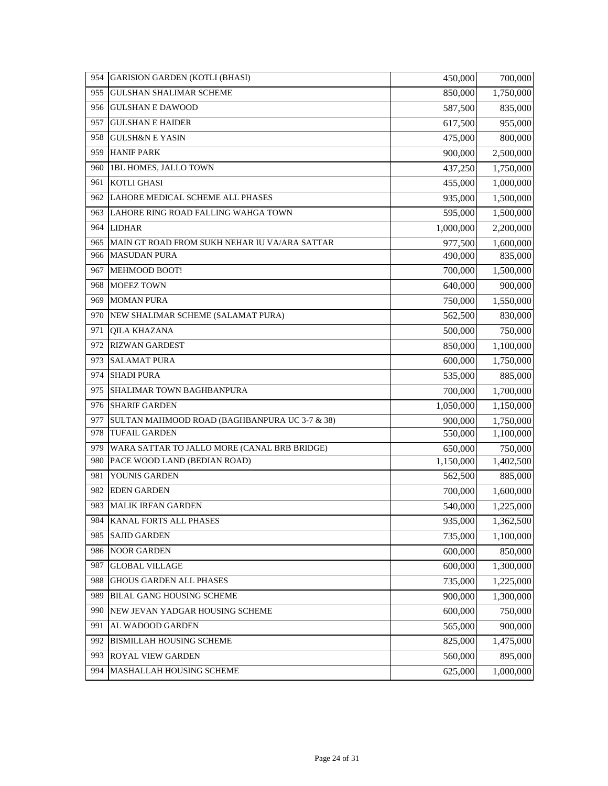| 954 | <b>GARISION GARDEN (KOTLI (BHASI)</b>         | 450,000   | 700,000   |
|-----|-----------------------------------------------|-----------|-----------|
| 955 | <b>GULSHAN SHALIMAR SCHEME</b>                | 850,000   | 1,750,000 |
| 956 | <b>GULSHAN E DAWOOD</b>                       | 587,500   | 835,000   |
| 957 | <b>GULSHAN E HAIDER</b>                       | 617,500   | 955,000   |
| 958 | <b>GULSH&amp;N E YASIN</b>                    | 475,000   | 800,000   |
| 959 | <b>HANIF PARK</b>                             | 900,000   | 2,500,000 |
| 960 | 1BL HOMES, JALLO TOWN                         | 437,250   | 1,750,000 |
| 961 | KOTLI GHASI                                   | 455,000   | 1,000,000 |
| 962 | LAHORE MEDICAL SCHEME ALL PHASES              | 935,000   | 1,500,000 |
| 963 | LAHORE RING ROAD FALLING WAHGA TOWN           | 595,000   | 1,500,000 |
| 964 | <b>LIDHAR</b>                                 | 1,000,000 | 2,200,000 |
| 965 | MAIN GT ROAD FROM SUKH NEHAR IU VA/ARA SATTAR | 977,500   | 1,600,000 |
| 966 | <b>MASUDAN PURA</b>                           | 490,000   | 835,000   |
| 967 | MEHMOOD BOOT!                                 | 700,000   | 1,500,000 |
| 968 | MOEEZ TOWN                                    | 640,000   | 900,000   |
| 969 | <b>MOMAN PURA</b>                             | 750,000   | 1,550,000 |
| 970 | NEW SHALIMAR SCHEME (SALAMAT PURA)            | 562,500   | 830,000   |
| 971 | <b>QILA KHAZANA</b>                           | 500,000   | 750,000   |
| 972 | <b>RIZWAN GARDEST</b>                         | 850,000   | 1,100,000 |
| 973 | <b>SALAMAT PURA</b>                           | 600,000   | 1,750,000 |
| 974 | <b>SHADI PURA</b>                             | 535,000   | 885,000   |
| 975 | SHALIMAR TOWN BAGHBANPURA                     | 700,000   | 1,700,000 |
| 976 | <b>SHARIF GARDEN</b>                          | 1,050,000 | 1,150,000 |
| 977 | SULTAN MAHMOOD ROAD (BAGHBANPURA UC 3-7 & 38) | 900,000   | 1,750,000 |
| 978 | <b>TUFAIL GARDEN</b>                          | 550,000   | 1,100,000 |
| 979 | WARA SATTAR TO JALLO MORE (CANAL BRB BRIDGE)  | 650,000   | 750,000   |
| 980 | PACE WOOD LAND (BEDIAN ROAD)                  | 1,150,000 | 1,402,500 |
| 981 | YOUNIS GARDEN                                 | 562,500   | 885,000   |
| 982 | <b>EDEN GARDEN</b>                            | 700,000   | 1,600,000 |
| 983 | <b>MALIK IRFAN GARDEN</b>                     | 540,000   | 1,225,000 |
| 984 | KANAL FORTS ALL PHASES                        | 935,000   | 1,362,500 |
| 985 | <b>SAJID GARDEN</b>                           | 735,000   | 1,100,000 |
| 986 | <b>NOOR GARDEN</b>                            | 600,000   | 850,000   |
| 987 | <b>GLOBAL VILLAGE</b>                         | 600,000   | 1,300,000 |
| 988 | <b>GHOUS GARDEN ALL PHASES</b>                | 735,000   | 1,225,000 |
| 989 | BILAL GANG HOUSING SCHEME                     | 900,000   | 1,300,000 |
| 990 | NEW JEVAN YADGAR HOUSING SCHEME               | 600,000   | 750,000   |
| 991 | AL WADOOD GARDEN                              | 565,000   | 900,000   |
| 992 | <b>BISMILLAH HOUSING SCHEME</b>               | 825,000   | 1,475,000 |
| 993 | ROYAL VIEW GARDEN                             | 560,000   | 895,000   |
| 994 | MASHALLAH HOUSING SCHEME                      | 625,000   | 1,000,000 |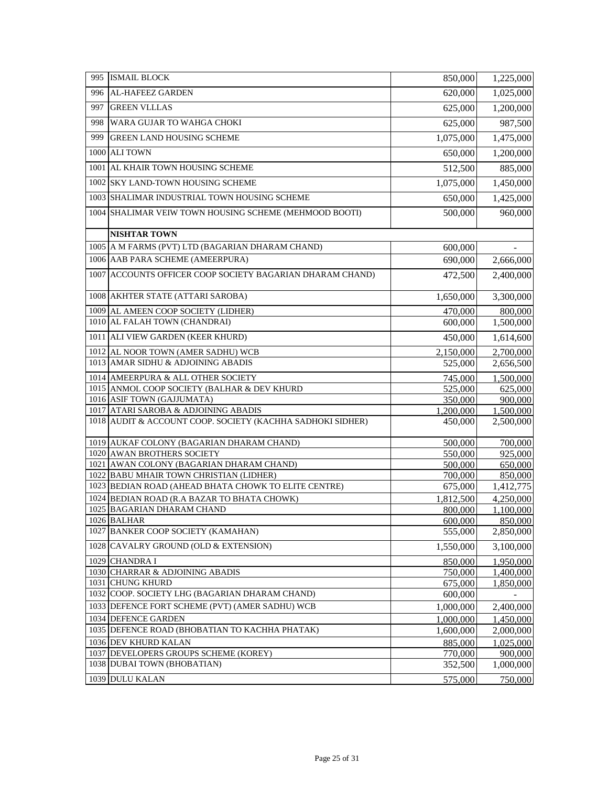| 995  | <b>ISMAIL BLOCK</b>                                        | 850,000   | 1,225,000 |
|------|------------------------------------------------------------|-----------|-----------|
| 996  | AL-HAFEEZ GARDEN                                           | 620,000   | 1,025,000 |
| 997  | <b>GREEN VLLLAS</b>                                        | 625,000   | 1,200,000 |
| 998  | WARA GUJAR TO WAHGA CHOKI                                  | 625,000   | 987,500   |
| 999  | <b>GREEN LAND HOUSING SCHEME</b>                           | 1,075,000 | 1,475,000 |
| 1000 | <b>ALITOWN</b>                                             | 650,000   | 1,200,000 |
| 1001 | AL KHAIR TOWN HOUSING SCHEME                               | 512,500   | 885,000   |
|      | 1002 SKY LAND-TOWN HOUSING SCHEME                          | 1,075,000 | 1,450,000 |
|      | 1003 SHALIMAR INDUSTRIAL TOWN HOUSING SCHEME               | 650,000   | 1,425,000 |
|      | 1004 SHALIMAR VEIW TOWN HOUSING SCHEME (MEHMOOD BOOTI)     | 500,000   | 960,000   |
|      | <b>NISHTAR TOWN</b>                                        |           |           |
|      | 1005 A M FARMS (PVT) LTD (BAGARIAN DHARAM CHAND)           | 600,000   |           |
|      | 1006 AAB PARA SCHEME (AMEERPURA)                           | 690,000   | 2,666,000 |
| 1007 | ACCOUNTS OFFICER COOP SOCIETY BAGARIAN DHARAM CHAND)       | 472,500   | 2,400,000 |
|      | 1008 AKHTER STATE (ATTARI SAROBA)                          | 1,650,000 | 3,300,000 |
|      | 1009 AL AMEEN COOP SOCIETY (LIDHER)                        | 470,000   | 800,000   |
|      | 1010 AL FALAH TOWN (CHANDRAI)                              | 600,000   | 1,500,000 |
|      | 1011 ALI VIEW GARDEN (KEER KHURD)                          | 450,000   | 1,614,600 |
| 1012 | AL NOOR TOWN (AMER SADHU) WCB                              | 2,150,000 | 2,700,000 |
|      | 1013 AMAR SIDHU & ADJOINING ABADIS                         | 525,000   | 2,656,500 |
| 1014 | AMEERPURA & ALL OTHER SOCIETY                              | 745,000   | 1,500,000 |
|      | 1015 ANMOL COOP SOCIETY (BALHAR & DEV KHURD                | 525,000   | 625,000   |
|      | 1016 ASIF TOWN (GAJJUMATA)                                 | 350,000   | 900,000   |
|      | 1017 ATARI SAROBA & ADJOINING ABADIS                       | 1,200,000 | 1,500,000 |
|      | 1018 AUDIT & ACCOUNT COOP. SOCIETY (KACHHA SADHOKI SIDHER) | 450,000   | 2,500,000 |
|      | 1019 AUKAF COLONY (BAGARIAN DHARAM CHAND)                  | 500,000   | 700,000   |
|      | 1020 AWAN BROTHERS SOCIETY                                 | 550,000   | 925,000   |
|      | 1021 AWAN COLONY (BAGARIAN DHARAM CHAND)                   | 500,000   | 650,000   |
|      | 1022 BABU MHAIR TOWN CHRISTIAN (LIDHER)                    | 700,000   | 850,000   |
|      | 1023 BEDIAN ROAD (AHEAD BHATA CHOWK TO ELITE CENTRE)       | 675,000   | 1,412,775 |
|      | 1024 BEDIAN ROAD (R.A BAZAR TO BHATA CHOWK)                | 1,812,500 | 4,250,000 |
|      | 1025 BAGARIAN DHARAM CHAND                                 | 800,000   | 1,100,000 |
|      | 1026 BALHAR                                                | 600,000   | 850,000   |
|      | 1027 BANKER COOP SOCIETY (KAMAHAN)                         | 555,000   | 2,850,000 |
|      | 1028 CAVALRY GROUND (OLD & EXTENSION)                      | 1,550,000 | 3,100,000 |
| 1029 | <b>CHANDRA I</b>                                           | 850,000   | 1,950,000 |
|      | 1030 CHARRAR & ADJOINING ABADIS                            | 750,000   | 1,400,000 |
| 1031 | <b>CHUNG KHURD</b>                                         | 675,000   | 1,850,000 |
|      | 1032 COOP. SOCIETY LHG (BAGARIAN DHARAM CHAND)             | 600,000   |           |
|      | 1033 DEFENCE FORT SCHEME (PVT) (AMER SADHU) WCB            | 1,000,000 | 2,400,000 |
|      | 1034 DEFENCE GARDEN                                        | 1,000,000 | 1,450,000 |
|      | 1035 DEFENCE ROAD (BHOBATIAN TO KACHHA PHATAK)             | 1,600,000 | 2,000,000 |
|      | 1036 DEV KHURD KALAN                                       | 885,000   | 1,025,000 |
|      | 1037 DEVELOPERS GROUPS SCHEME (KOREY)                      | 770,000   | 900,000   |
|      | 1038 DUBAI TOWN (BHOBATIAN)                                | 352,500   | 1,000,000 |
|      | 1039 DULU KALAN                                            | 575,000   | 750,000   |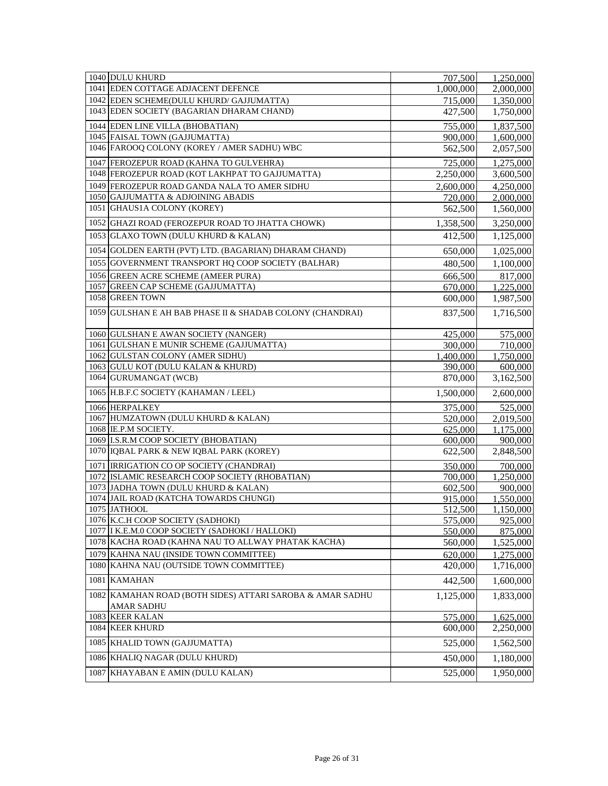| 1040 DULU KHURD                                                                  | 707,500            | 1,250,000            |
|----------------------------------------------------------------------------------|--------------------|----------------------|
| 1041 EDEN COTTAGE ADJACENT DEFENCE                                               | 1,000,000          | 2,000,000            |
| 1042 EDEN SCHEME(DULU KHURD/ GAJJUMATTA)                                         | 715,000            | 1,350,000            |
| 1043 EDEN SOCIETY (BAGARIAN DHARAM CHAND)                                        | 427,500            | 1,750,000            |
| 1044 EDEN LINE VILLA (BHOBATIAN)                                                 | 755,000            | 1,837,500            |
| 1045 FAISAL TOWN (GAJJUMATTA)                                                    | 900,000            | 1,600,000            |
| 1046 FAROOQ COLONY (KOREY / AMER SADHU) WBC                                      | 562,500            | 2,057,500            |
| 1047 FEROZEPUR ROAD (KAHNA TO GULVEHRA)                                          | 725,000            | 1,275,000            |
| 1048 FEROZEPUR ROAD (KOT LAKHPAT TO GAJJUMATTA)                                  | 2,250,000          | 3,600,500            |
| 1049 FEROZEPUR ROAD GANDA NALA TO AMER SIDHU                                     | 2,600,000          | 4,250,000            |
| 1050 GAJJUMATTA & ADJOINING ABADIS                                               | 720,000            | 2,000,000            |
| 1051 GHAUS1A COLONY (KOREY)                                                      | 562,500            | 1,560,000            |
| 1052 GHAZI ROAD (FEROZEPUR ROAD TO JHATTA CHOWK)                                 | 1,358,500          | 3,250,000            |
| 1053 GLAXO TOWN (DULU KHURD & KALAN)                                             | 412,500            | 1,125,000            |
|                                                                                  |                    |                      |
| 1054 GOLDEN EARTH (PVT) LTD. (BAGARIAN) DHARAM CHAND)                            | 650,000            | 1,025,000            |
| 1055 GOVERNMENT TRANSPORT HQ COOP SOCIETY (BALHAR)                               | 480,500            | 1,100,000            |
| 1056 GREEN ACRE SCHEME (AMEER PURA)                                              | 666,500            | 817,000              |
| 1057 GREEN CAP SCHEME (GAJJUMATTA)                                               | 670,000            | 1,225,000            |
| 1058 GREEN TOWN                                                                  | 600,000            | 1,987,500            |
| 1059 GULSHAN E AH BAB PHASE II & SHADAB COLONY (CHANDRAI)                        | 837,500            | 1,716,500            |
|                                                                                  |                    |                      |
| 1060 GULSHAN E AWAN SOCIETY (NANGER)<br>1061 GULSHAN E MUNIR SCHEME (GAJJUMATTA) | 425,000<br>300,000 | 575,000              |
| 1062 GULSTAN COLONY (AMER SIDHU)                                                 | 1,400,000          | 710,000<br>1,750,000 |
| 1063 GULU KOT (DULU KALAN & KHURD)                                               | 390,000            | 600,000              |
| 1064 GURUMANGAT (WCB)                                                            | 870,000            | 3,162,500            |
| 1065 H.B.F.C SOCIETY (KAHAMAN / LEEL)                                            | 1,500,000          | 2,600,000            |
| 1066 HERPALKEY                                                                   | 375,000            | 525,000              |
| 1067 HUMZATOWN (DULU KHURD & KALAN)                                              | 520,000            | 2,019,500            |
| 1068 IE.P.M SOCIETY.                                                             | 625,000            | 1,175,000            |
| 1069 I.S.R.M COOP SOCIETY (BHOBATIAN)                                            | 600,000            | 900,000              |
| 1070 IQBAL PARK & NEW IQBAL PARK (KOREY)                                         | 622,500            | 2,848,500            |
| 1071 IRRIGATION CO OP SOCIETY (CHANDRAI)                                         | 350,000            | 700,000              |
| 1072 ISLAMIC RESEARCH COOP SOCIETY (RHOBATIAN)                                   | 700,000            | 1,250,000            |
| 1073 JADHA TOWN (DULU KHURD & KALAN)                                             | 602,500            | 900,000              |
| 1074 JAIL ROAD (KATCHA TOWARDS CHUNGI)                                           | 915,000            | 1,550,000            |
| 1075 JATHOOL                                                                     | 512,500            | 1,150,000            |
| 1076 K.C.H COOP SOCIETY (SADHOKI)                                                | 575,000            | 925,000              |
| 1077   I K.E.M.0 COOP SOCIETY (SADHOKI / HALLOKI)                                | 550,000            | 875,000              |
| 1078 KACHA ROAD (KAHNA NAU TO ALLWAY PHATAK KACHA)                               | 560,000            | 1,525,000            |
| 1079 KAHNA NAU (INSIDE TOWN COMMITTEE)                                           | 620,000            | 1,275,000            |
| 1080 KAHNA NAU (OUTSIDE TOWN COMMITTEE)                                          | 420,000            | 1,716,000            |
| 1081 KAMAHAN                                                                     | 442,500            | 1,600,000            |
| 1082 KAMAHAN ROAD (BOTH SIDES) ATTARI SAROBA & AMAR SADHU<br><b>AMAR SADHU</b>   | 1,125,000          | 1,833,000            |
| 1083 KEER KALAN                                                                  | 575,000            | 1,625,000            |
| 1084 KEER KHURD                                                                  | 600,000            | 2,250,000            |
| 1085 KHALID TOWN (GAJJUMATTA)                                                    | 525,000            | 1,562,500            |
| 1086 KHALIQ NAGAR (DULU KHURD)                                                   | 450,000            | 1,180,000            |
| 1087 KHAYABAN E AMIN (DULU KALAN)                                                | 525,000            | 1,950,000            |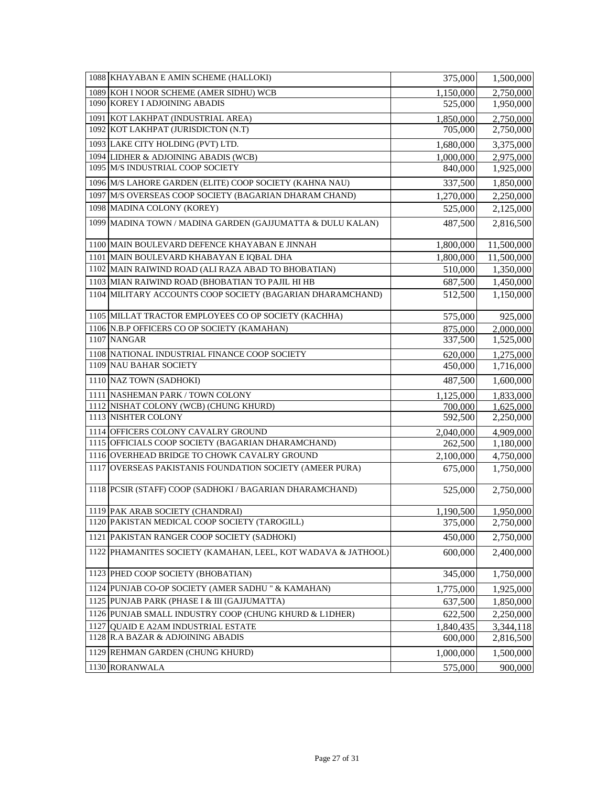| 1088 KHAYABAN E AMIN SCHEME (HALLOKI)                         | 375,000   | 1,500,000  |
|---------------------------------------------------------------|-----------|------------|
| 1089 KOH I NOOR SCHEME (AMER SIDHU) WCB                       | 1,150,000 | 2,750,000  |
| 1090 KOREY I ADJOINING ABADIS                                 | 525,000   | 1,950,000  |
| 1091 KOT LAKHPAT (INDUSTRIAL AREA)                            | 1,850,000 | 2,750,000  |
| 1092 KOT LAKHPAT (JURISDICTON (N.T)                           | 705,000   | 2,750,000  |
| 1093 LAKE CITY HOLDING (PVT) LTD.                             | 1,680,000 | 3,375,000  |
| 1094 LIDHER & ADJOINING ABADIS (WCB)                          | 1,000,000 | 2,975,000  |
| 1095 M/S INDUSTRIAL COOP SOCIETY                              | 840,000   | 1,925,000  |
| 1096 M/S LAHORE GARDEN (ELITE) COOP SOCIETY (KAHNA NAU)       | 337,500   | 1,850,000  |
| 1097 M/S OVERSEAS COOP SOCIETY (BAGARIAN DHARAM CHAND)        | 1,270,000 | 2,250,000  |
| 1098 MADINA COLONY (KOREY)                                    | 525,000   | 2,125,000  |
| 1099 MADINA TOWN / MADINA GARDEN (GAJJUMATTA & DULU KALAN)    | 487,500   | 2,816,500  |
| 1100 MAIN BOULEVARD DEFENCE KHAYABAN E JINNAH                 | 1,800,000 | 11,500,000 |
| 1101 MAIN BOULEVARD KHABAYAN E IQBAL DHA                      | 1,800,000 | 11,500,000 |
| 1102 MAIN RAIWIND ROAD (ALI RAZA ABAD TO BHOBATIAN)           | 510,000   | 1,350,000  |
| 1103 MIAN RAIWIND ROAD (BHOBATIAN TO PAJIL HI HB              | 687,500   | 1,450,000  |
| 1104 MILITARY ACCOUNTS COOP SOCIETY (BAGARIAN DHARAMCHAND)    | 512,500   | 1,150,000  |
| 1105 MILLAT TRACTOR EMPLOYEES CO OP SOCIETY (KACHHA)          | 575,000   | 925,000    |
| 1106 N.B.P OFFICERS CO OP SOCIETY (KAMAHAN)                   | 875,000   | 2,000,000  |
| 1107 NANGAR                                                   | 337,500   | 1,525,000  |
| 1108 NATIONAL INDUSTRIAL FINANCE COOP SOCIETY                 | 620,000   | 1,275,000  |
| 1109 NAU BAHAR SOCIETY                                        | 450,000   | 1,716,000  |
| 1110 NAZ TOWN (SADHOKI)                                       | 487,500   | 1,600,000  |
| 1111 NASHEMAN PARK / TOWN COLONY                              | 1,125,000 | 1,833,000  |
| 1112 NISHAT COLONY (WCB) (CHUNG KHURD)                        | 700,000   | 1,625,000  |
| 1113 NISHTER COLONY                                           | 592,500   | 2,250,000  |
| 1114 OFFICERS COLONY CAVALRY GROUND                           | 2,040,000 | 4,909,000  |
| 1115 OFFICIALS COOP SOCIETY (BAGARIAN DHARAMCHAND)            | 262,500   | 1,180,000  |
| 1116 OVERHEAD BRIDGE TO CHOWK CAVALRY GROUND                  | 2,100,000 | 4,750,000  |
| 1117 OVERSEAS PAKISTANIS FOUNDATION SOCIETY (AMEER PURA)      | 675,000   | 1,750,000  |
| 1118 PCSIR (STAFF) COOP (SADHOKI / BAGARIAN DHARAMCHAND)      | 525,000   | 2,750,000  |
| 1119 PAK ARAB SOCIETY (CHANDRAI)                              | 1,190,500 | 1,950,000  |
| 1120 PAKISTAN MEDICAL COOP SOCIETY (TAROGILL)                 | 375,000   | 2,750,000  |
| 1121 PAKISTAN RANGER COOP SOCIETY (SADHOKI)                   | 450,000   | 2,750,000  |
| 1122 PHAMANITES SOCIETY (KAMAHAN, LEEL, KOT WADAVA & JATHOOL) | 600,000   | 2,400,000  |
| 1123 PHED COOP SOCIETY (BHOBATIAN)                            | 345,000   | 1,750,000  |
| 1124 PUNJAB CO-OP SOCIETY (AMER SADHU " & KAMAHAN)            | 1,775,000 | 1,925,000  |
| 1125 PUNJAB PARK (PHASE I & III (GAJJUMATTA)                  | 637,500   | 1,850,000  |
| 1126 PUNJAB SMALL INDUSTRY COOP (CHUNG KHURD & L1DHER)        | 622,500   | 2,250,000  |
| 1127 QUAID E A2AM INDUSTRIAL ESTATE                           | 1,840,435 | 3,344,118  |
| 1128 R.A BAZAR & ADJOINING ABADIS                             | 600,000   | 2,816,500  |
| 1129 REHMAN GARDEN (CHUNG KHURD)                              | 1,000,000 | 1,500,000  |
| 1130 RORANWALA                                                | 575,000   | 900,000    |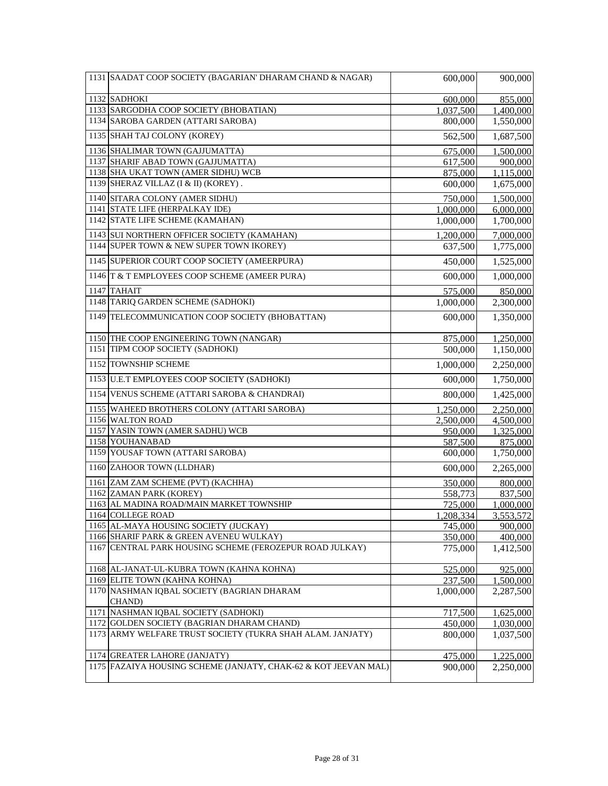| 1131 SAADAT COOP SOCIETY (BAGARIAN' DHARAM CHAND & NAGAR)                                                | 600,000   | 900,000                |
|----------------------------------------------------------------------------------------------------------|-----------|------------------------|
| $1132$ SADHOKI                                                                                           | 600,000   | 855,000                |
| 1133 SARGODHA COOP SOCIETY (BHOBATIAN)                                                                   | 1,037,500 | 1,400,000              |
| 1134 SAROBA GARDEN (ATTARI SAROBA)                                                                       | 800,000   | 1,550,000              |
| 1135 SHAH TAJ COLONY (KOREY)                                                                             | 562,500   | 1,687,500              |
| 1136 SHALIMAR TOWN (GAJJUMATTA)                                                                          | 675,000   | 1,500,000              |
| 1137 SHARIF ABAD TOWN (GAJJUMATTA)                                                                       | 617,500   | 900,000                |
| 1138 SHA UKAT TOWN (AMER SIDHU) WCB                                                                      | 875,000   | 1,115,000              |
| 1139 SHERAZ VILLAZ (I & II) (KOREY).                                                                     | 600,000   | 1,675,000              |
| 1140 SITARA COLONY (AMER SIDHU)                                                                          | 750,000   | 1,500,000              |
| 1141 STATE LIFE (HERPALKAY IDE)                                                                          | 1,000,000 | 6,000,000              |
| 1142 STATE LIFE SCHEME (KAMAHAN)                                                                         | 1,000,000 | 1,700,000              |
| 1143 SUI NORTHERN OFFICER SOCIETY (KAMAHAN)                                                              | 1,200,000 | 7,000,000              |
| 1144 SUPER TOWN & NEW SUPER TOWN IKOREY)                                                                 | 637,500   | 1,775,000              |
| 1145 SUPERIOR COURT COOP SOCIETY (AMEERPURA)                                                             | 450,000   | 1,525,000              |
| 1146 T & T EMPLOYEES COOP SCHEME (AMEER PURA)                                                            | 600,000   | 1,000,000              |
| 1147 TAHAIT                                                                                              | 575,000   | 850,000                |
| 1148 TARIQ GARDEN SCHEME (SADHOKI)                                                                       | 1,000,000 | $\overline{2,}300,000$ |
| 1149 TELECOMMUNICATION COOP SOCIETY (BHOBATTAN)                                                          | 600,000   | 1,350,000              |
| 1150 THE COOP ENGINEERING TOWN (NANGAR)                                                                  | 875,000   | 1,250,000              |
| 1151 TIPM COOP SOCIETY (SADHOKI)                                                                         | 500,000   | 1,150,000              |
| 1152 TOWNSHIP SCHEME                                                                                     | 1,000,000 | 2,250,000              |
| 1153 U.E.T EMPLOYEES COOP SOCIETY (SADHOKI)                                                              | 600,000   | 1,750,000              |
| 1154 VENUS SCHEME (ATTARI SAROBA & CHANDRAI)                                                             | 800,000   | 1,425,000              |
| 1155 WAHEED BROTHERS COLONY (ATTARI SAROBA)                                                              | 1,250,000 | 2,250,000              |
| 1156 WALTON ROAD                                                                                         | 2,500,000 | 4,500,000              |
| 1157 YASIN TOWN (AMER SADHU) WCB                                                                         | 950,000   | 1,325,000              |
| 1158 YOUHANABAD                                                                                          | 587,500   | 875,000                |
| 1159 YOUSAF TOWN (ATTARI SAROBA)                                                                         | 600,000   | 1,750,000              |
| 1160 ZAHOOR TOWN (LLDHAR)                                                                                | 600,000   | 2,265,000              |
| 1161 ZAM ZAM SCHEME (PVT) (KACHHA)                                                                       | 350,000   | 800,000                |
| 1162 ZAMAN PARK (KOREY)                                                                                  | 558,773   | 837,500                |
| 1163 AL MADINA ROAD/MAIN MARKET TOWNSHIP                                                                 | 725,000   | 1,000,000              |
| 1164 COLLEGE ROAD                                                                                        | 1,208,334 | 3,553,572              |
| 1165 AL-MAYA HOUSING SOCIETY (JUCKAY)                                                                    | 745,000   | 900,000                |
| 1166 SHARIF PARK & GREEN AVENEU WULKAY)                                                                  | 350,000   | 400,000                |
| 1167 CENTRAL PARK HOUSING SCHEME (FEROZEPUR ROAD JULKAY)                                                 | 775,000   | 1,412,500              |
| 1168 AL-JANAT-UL-KUBRA TOWN (KAHNA KOHNA)                                                                | 525,000   | 925,000                |
| 1169 ELITE TOWN (KAHNA KOHNA)                                                                            | 237,500   | 1,500,000              |
| 1170 NASHMAN IQBAL SOCIETY (BAGRIAN DHARAM                                                               | 1,000,000 | 2,287,500              |
| CHAND)<br>1171 NASHMAN IQBAL SOCIETY (SADHOKI)                                                           |           |                        |
|                                                                                                          | 717,500   | 1,625,000              |
| 1172 GOLDEN SOCIETY (BAGRIAN DHARAM CHAND)<br>1173 ARMY WELFARE TRUST SOCIETY (TUKRA SHAH ALAM. JANJATY) | 450,000   | 1,030,000              |
|                                                                                                          | 800,000   | 1,037,500              |
| 1174 GREATER LAHORE (JANJATY)                                                                            | 475,000   | 1,225,000              |
| 1175 FAZAIYA HOUSING SCHEME (JANJATY, CHAK-62 & KOT JEEVAN MAL)                                          | 900,000   | 2,250,000              |
|                                                                                                          |           |                        |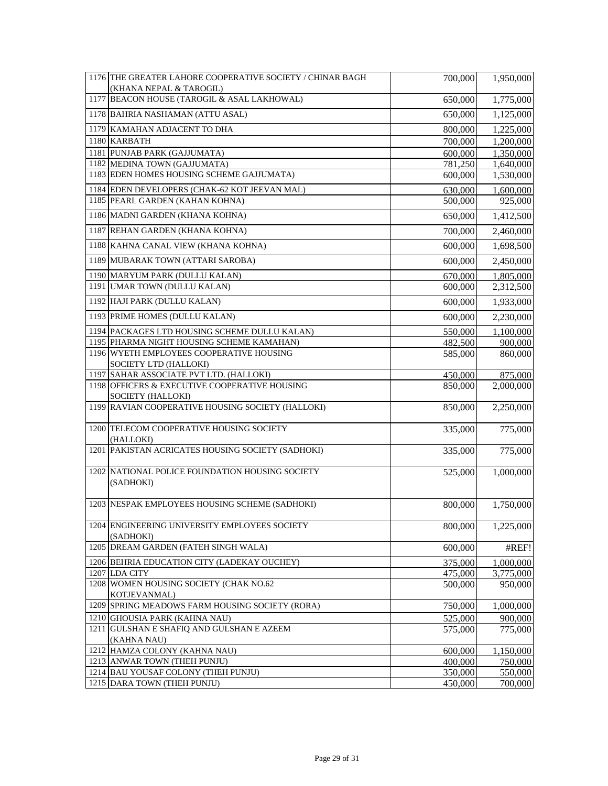| 1176 THE GREATER LAHORE COOPERATIVE SOCIETY / CHINAR BAGH          | 700,000 | 1,950,000 |
|--------------------------------------------------------------------|---------|-----------|
| (KHANA NEPAL & TAROGIL)                                            |         |           |
| 1177 BEACON HOUSE (TAROGIL & ASAL LAKHOWAL)                        | 650,000 | 1,775,000 |
| 1178 BAHRIA NASHAMAN (ATTU ASAL)                                   | 650,000 | 1,125,000 |
| 1179 KAMAHAN ADJACENT TO DHA                                       | 800,000 | 1,225,000 |
| 1180 KARBATH                                                       | 700,000 | 1,200,000 |
| 1181 PUNJAB PARK (GAJJUMATA)                                       | 600,000 | 1,350,000 |
| 1182 MEDINA TOWN (GAJJUMATA)                                       | 781,250 | 1,640,000 |
| 1183 EDEN HOMES HOUSING SCHEME GAJJUMATA)                          | 600,000 | 1,530,000 |
| 1184 EDEN DEVELOPERS (CHAK-62 KOT JEEVAN MAL)                      | 630,000 | 1,600,000 |
| 1185 PEARL GARDEN (KAHAN KOHNA)                                    | 500,000 | 925,000   |
| 1186 MADNI GARDEN (KHANA KOHNA)                                    | 650,000 | 1,412,500 |
| 1187 REHAN GARDEN (KHANA KOHNA)                                    | 700,000 | 2,460,000 |
| 1188 KAHNA CANAL VIEW (KHANA KOHNA)                                | 600,000 | 1,698,500 |
| 1189 MUBARAK TOWN (ATTARI SAROBA)                                  | 600,000 | 2,450,000 |
| 1190 MARYUM PARK (DULLU KALAN)                                     | 670,000 | 1,805,000 |
| 1191 UMAR TOWN (DULLU KALAN)                                       | 600,000 | 2,312,500 |
| 1192 HAJI PARK (DULLU KALAN)                                       | 600,000 | 1,933,000 |
| 1193 PRIME HOMES (DULLU KALAN)                                     | 600,000 | 2,230,000 |
| 1194 PACKAGES LTD HOUSING SCHEME DULLU KALAN)                      | 550,000 | 1,100,000 |
| 1195 PHARMA NIGHT HOUSING SCHEME KAMAHAN)                          | 482,500 | 900,000   |
| 1196 WYETH EMPLOYEES COOPERATIVE HOUSING                           | 585,000 | 860,000   |
| SOCIETY LTD (HALLOKI)                                              |         |           |
| 1197 SAHAR ASSOCIATE PVT LTD. (HALLOKI)                            | 450,000 | 875,000   |
| 1198 OFFICERS & EXECUTIVE COOPERATIVE HOUSING<br>SOCIETY (HALLOKI) | 850,000 | 2,000,000 |
| 1199 RAVIAN COOPERATIVE HOUSING SOCIETY (HALLOKI)                  | 850,000 | 2,250,000 |
| 1200 TELECOM COOPERATIVE HOUSING SOCIETY                           | 335,000 | 775,000   |
| (HALLOKI)<br>1201 PAKISTAN ACRICATES HOUSING SOCIETY (SADHOKI)     | 335,000 | 775,000   |
|                                                                    |         |           |
| 1202 NATIONAL POLICE FOUNDATION HOUSING SOCIETY                    | 525,000 | 1,000,000 |
| (SADHOKI)                                                          |         |           |
| 1203 NESPAK EMPLOYEES HOUSING SCHEME (SADHOKI)                     | 800,000 | 1,750,000 |
| 1204 ENGINEERING UNIVERSITY EMPLOYEES SOCIETY                      | 800,000 | 1,225,000 |
| (SADHOKI)                                                          |         |           |
| 1205 DREAM GARDEN (FATEH SINGH WALA)                               | 600,000 | #REF!     |
| 1206 BEHRIA EDUCATION CITY (LADEKAY OUCHEY)                        | 375,000 | 1,000,000 |
| 1207 LDA CITY                                                      | 475,000 | 3,775,000 |
| 1208 WOMEN HOUSING SOCIETY (CHAK NO.62<br>KOTJEVANMAL)             | 500,000 | 950,000   |
| 1209 SPRING MEADOWS FARM HOUSING SOCIETY (RORA)                    | 750,000 | 1,000,000 |
| 1210 GHOUSIA PARK (KAHNA NAU)                                      | 525,000 | 900,000   |
| 1211 GULSHAN E SHAFIQ AND GULSHAN E AZEEM                          | 575,000 | 775,000   |
| (KAHNA NAU)                                                        |         |           |
| 1212 HAMZA COLONY (KAHNA NAU)                                      | 600,000 | 1,150,000 |
| 1213 ANWAR TOWN (THEH PUNJU)                                       | 400,000 | 750,000   |
| 1214 BAU YOUSAF COLONY (THEH PUNJU)                                | 350,000 | 550,000   |
| 1215 DARA TOWN (THEH PUNJU)                                        | 450,000 | 700,000   |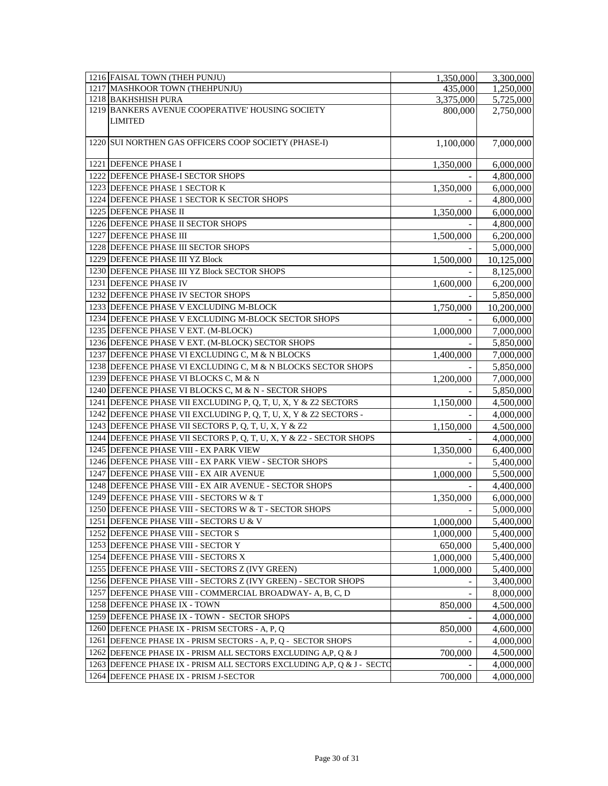|      | 1216 FAISAL TOWN (THEH PUNJU)                                       | 1,350,000 | 3,300,000  |
|------|---------------------------------------------------------------------|-----------|------------|
|      | 1217 MASHKOOR TOWN (THEHPUNJU)                                      | 435,000   | 1,250,000  |
|      | 1218 BAKHSHISH PURA                                                 | 3,375,000 | 5,725,000  |
|      | 1219 BANKERS AVENUE COOPERATIVE' HOUSING SOCIETY                    | 800,000   | 2,750,000  |
|      | <b>LIMITED</b>                                                      |           |            |
|      | 1220 SUI NORTHEN GAS OFFICERS COOP SOCIETY (PHASE-I)                | 1,100,000 | 7,000,000  |
|      |                                                                     |           |            |
|      | 1221 DEFENCE PHASE I                                                | 1,350,000 | 6,000,000  |
|      | 1222 DEFENCE PHASE-I SECTOR SHOPS                                   |           | 4,800,000  |
|      | 1223 DEFENCE PHASE 1 SECTOR K                                       | 1,350,000 | 6,000,000  |
|      | 1224 DEFENCE PHASE 1 SECTOR K SECTOR SHOPS                          |           | 4,800,000  |
|      | 1225 DEFENCE PHASE II                                               | 1,350,000 | 6,000,000  |
|      | 1226 DEFENCE PHASE II SECTOR SHOPS                                  |           | 4,800,000  |
|      | 1227 DEFENCE PHASE III                                              | 1,500,000 | 6,200,000  |
|      | 1228 DEFENCE PHASE III SECTOR SHOPS                                 |           | 5,000,000  |
|      | 1229 DEFENCE PHASE III YZ Block                                     | 1,500,000 | 10,125,000 |
|      | 1230 DEFENCE PHASE III YZ Block SECTOR SHOPS                        |           | 8,125,000  |
|      | 1231 DEFENCE PHASE IV                                               | 1,600,000 | 6,200,000  |
|      | 1232 DEFENCE PHASE IV SECTOR SHOPS                                  |           | 5,850,000  |
|      | 1233 DEFENCE PHASE V EXCLUDING M-BLOCK                              | 1,750,000 | 10,200,000 |
|      | 1234 DEFENCE PHASE V EXCLUDING M-BLOCK SECTOR SHOPS                 |           | 6,000,000  |
|      | 1235 DEFENCE PHASE V EXT. (M-BLOCK)                                 | 1,000,000 | 7,000,000  |
|      | 1236 DEFENCE PHASE V EXT. (M-BLOCK) SECTOR SHOPS                    |           | 5,850,000  |
|      | 1237 DEFENCE PHASE VI EXCLUDING C, M & N BLOCKS                     | 1,400,000 | 7,000,000  |
|      | 1238 DEFENCE PHASE VI EXCLUDING C, M & N BLOCKS SECTOR SHOPS        |           | 5,850,000  |
|      | 1239 DEFENCE PHASE VI BLOCKS C, M & N                               | 1,200,000 | 7,000,000  |
|      | 1240 DEFENCE PHASE VI BLOCKS C, M & N - SECTOR SHOPS                |           | 5,850,000  |
|      | 1241 DEFENCE PHASE VII EXCLUDING P, Q, T, U, X, Y & Z2 SECTORS      | 1,150,000 | 4,500,000  |
|      | 1242 DEFENCE PHASE VII EXCLUDING P, Q, T, U, X, Y & Z2 SECTORS -    |           | 4,000,000  |
|      | 1243 DEFENCE PHASE VII SECTORS P, Q, T, U, X, Y & Z2                | 1,150,000 | 4,500,000  |
|      | 1244 DEFENCE PHASE VII SECTORS P, Q, T, U, X, Y & Z2 - SECTOR SHOPS |           | 4,000,000  |
|      | 1245 DEFENCE PHASE VIII - EX PARK VIEW                              | 1,350,000 | 6,400,000  |
|      | 1246 DEFENCE PHASE VIII - EX PARK VIEW - SECTOR SHOPS               |           | 5,400,000  |
|      | 1247 DEFENCE PHASE VIII - EX AIR AVENUE                             | 1,000,000 | 5,500,000  |
|      | 1248 DEFENCE PHASE VIII - EX AIR AVENUE - SECTOR SHOPS              |           | 4,400,000  |
|      | 1249 DEFENCE PHASE VIII - SECTORS W & T                             | 1,350,000 | 6,000,000  |
|      | 1250 DEFENCE PHASE VIII - SECTORS W & T - SECTOR SHOPS              |           | 5,000,000  |
|      | 1251 DEFENCE PHASE VIII - SECTORS U & V                             | 1,000,000 | 5,400,000  |
|      | 1252 DEFENCE PHASE VIII - SECTOR S                                  | 1,000,000 | 5,400,000  |
|      | 1253 DEFENCE PHASE VIII - SECTOR Y                                  | 650,000   | 5,400,000  |
|      | 1254 DEFENCE PHASE VIII - SECTORS X                                 | 1,000,000 | 5,400,000  |
|      | 1255 DEFENCE PHASE VIII - SECTORS Z (IVY GREEN)                     | 1,000,000 | 5,400,000  |
|      | 1256 DEFENCE PHASE VIII - SECTORS Z (IVY GREEN) - SECTOR SHOPS      |           | 3,400,000  |
|      | 1257 DEFENCE PHASE VIII - COMMERCIAL BROADWAY- A, B, C, D           |           | 8,000,000  |
|      | 1258 DEFENCE PHASE IX - TOWN                                        | 850,000   | 4,500,000  |
|      | 1259 DEFENCE PHASE IX - TOWN - SECTOR SHOPS                         |           | 4,000,000  |
| 1260 | DEFENCE PHASE IX - PRISM SECTORS - A, P, Q                          | 850,000   | 4,600,000  |
| 1261 | DEFENCE PHASE IX - PRISM SECTORS - A, P, Q - SECTOR SHOPS           |           | 4,000,000  |
| 1262 | DEFENCE PHASE IX - PRISM ALL SECTORS EXCLUDING A,P, Q & J           | 700,000   | 4,500,000  |
| 1263 | DEFENCE PHASE IX - PRISM ALL SECTORS EXCLUDING A, P, Q & J - SECTO  |           | 4,000,000  |
| 1264 | DEFENCE PHASE IX - PRISM J-SECTOR                                   | 700,000   | 4,000,000  |